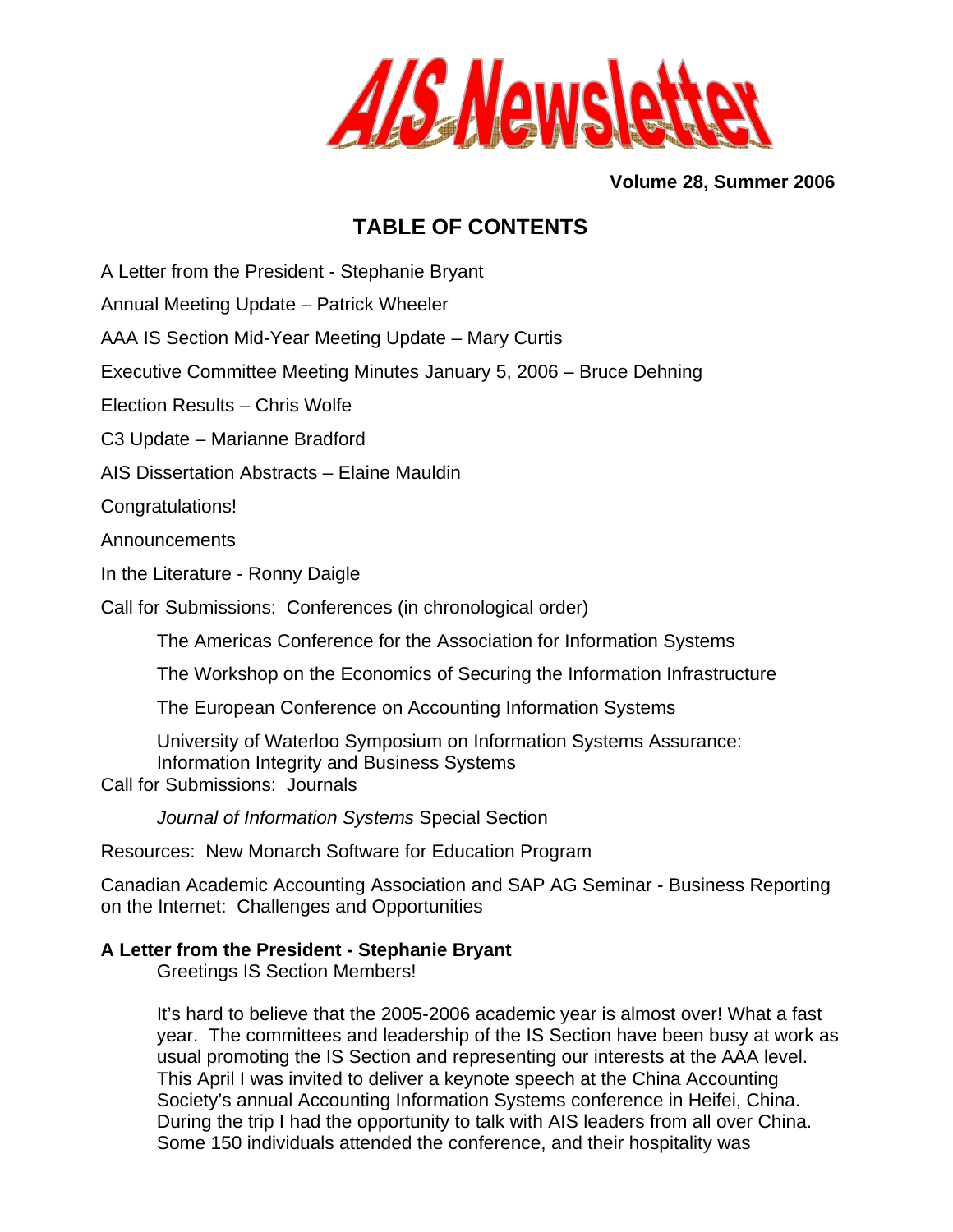

**Volume 28, Summer 2006** 

# **TABLE OF CONTENTS**

<span id="page-0-0"></span>[A Letter from the President - Stephanie Bryant](#page-0-0) 

[Annual Meeting Update – Patrick Wheeler](#page-2-0) 

[AAA IS Section Mid-Year Meeting Update – Mary Curtis](#page-2-0) 

[Executive Committee Meeting Minutes January 5, 2006 – Bruce Dehning](#page-5-0) 

[Election Results – Chris Wolfe](#page-10-0) 

[C3 Update – Marianne Bradford](#page-10-0) 

[AIS Dissertation Abstracts – Elaine Mauldin](#page-10-0) 

[Congratulations!](#page-11-0) 

[Announcements](#page-12-0) 

[In the Literature - Ronny Daigle](#page-12-0) 

[Call for Submissions: Conferences \(in chronological order\)](#page-23-0) 

The Americas Conference for the Association for Information Systems

The Workshop on the Economics of Securing the Information Infrastructure

The European Conference on Accounting Information Systems

University of Waterloo Symposium on Information Systems Assurance: Information Integrity and Business Systems [Call for Submissions: Journals](#page-28-0) 

*Journal of Information Systems* Special Section

[Resources: New Monarch Software for Education Program](#page-28-0) 

[Canadian Academic Accounting Association and SAP AG Seminar - Business Reporting](#page-29-0) on the Internet: Challenges and Opportunities

# **A Letter from the President - Stephanie Bryant**

Greetings IS Section Members!

It's hard to believe that the 2005-2006 academic year is almost over! What a fast year. The committees and leadership of the IS Section have been busy at work as usual promoting the IS Section and representing our interests at the AAA level. This April I was invited to deliver a keynote speech at the China Accounting Society's annual Accounting Information Systems conference in Heifei, China. During the trip I had the opportunity to talk with AIS leaders from all over China. Some 150 individuals attended the conference, and their hospitality was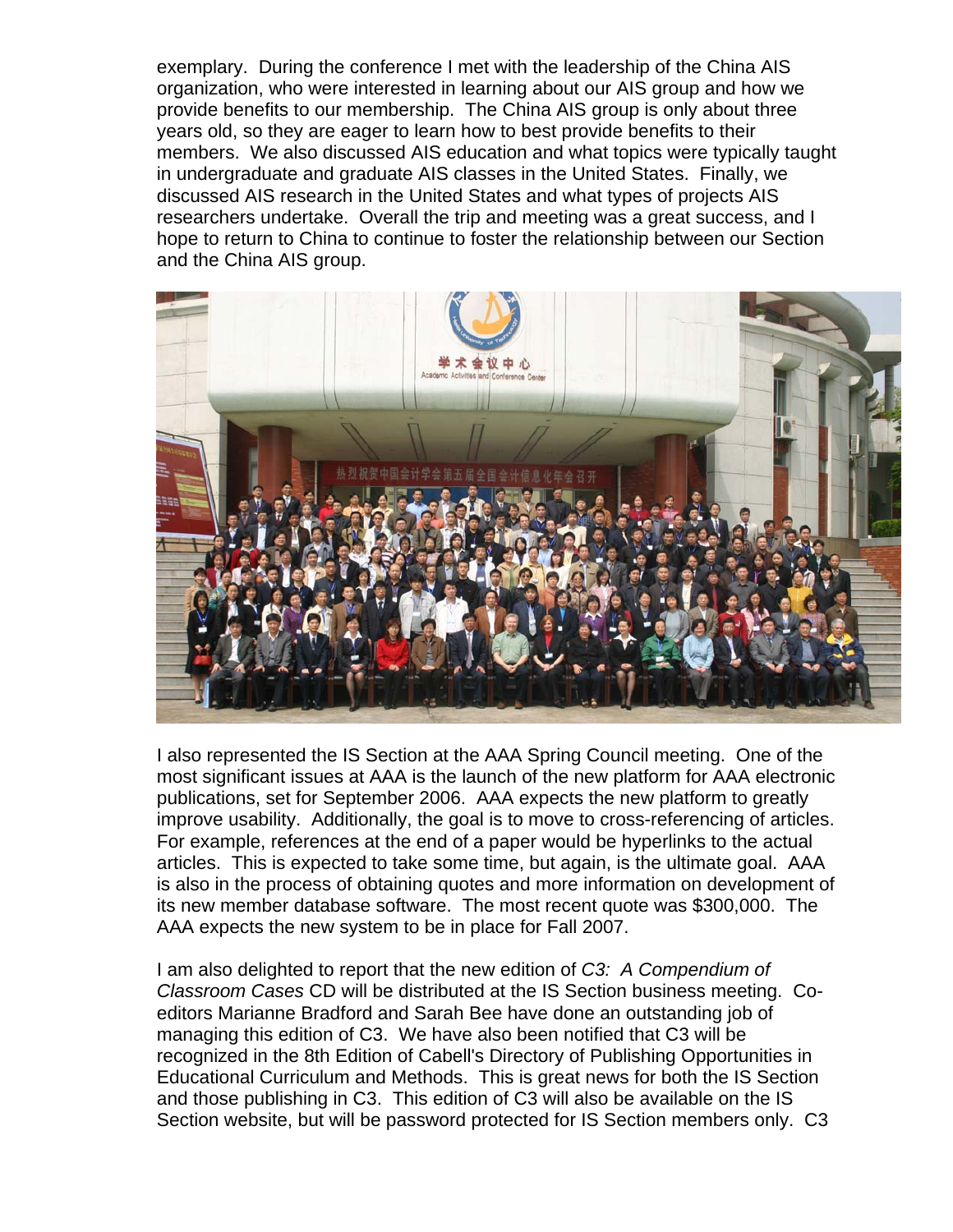exemplary. During the conference I met with the leadership of the China AIS organization, who were interested in learning about our AIS group and how we provide benefits to our membership. The China AIS group is only about three years old, so they are eager to learn how to best provide benefits to their members. We also discussed AIS education and what topics were typically taught in undergraduate and graduate AIS classes in the United States. Finally, we discussed AIS research in the United States and what types of projects AIS researchers undertake. Overall the trip and meeting was a great success, and I hope to return to China to continue to foster the relationship between our Section and the China AIS group.



I also represented the IS Section at the AAA Spring Council meeting. One of the most significant issues at AAA is the launch of the new platform for AAA electronic publications, set for September 2006. AAA expects the new platform to greatly improve usability. Additionally, the goal is to move to cross-referencing of articles. For example, references at the end of a paper would be hyperlinks to the actual articles. This is expected to take some time, but again, is the ultimate goal. AAA is also in the process of obtaining quotes and more information on development of its new member database software. The most recent quote was \$300,000. The AAA expects the new system to be in place for Fall 2007.

I am also delighted to report that the new edition of *C3: A Compendium of Classroom Cases* CD will be distributed at the IS Section business meeting. Coeditors Marianne Bradford and Sarah Bee have done an outstanding job of managing this edition of C3. We have also been notified that C3 will be recognized in the 8th Edition of Cabell's Directory of Publishing Opportunities in Educational Curriculum and Methods. This is great news for both the IS Section and those publishing in C3. This edition of C3 will also be available on the IS Section website, but will be password protected for IS Section members only. C3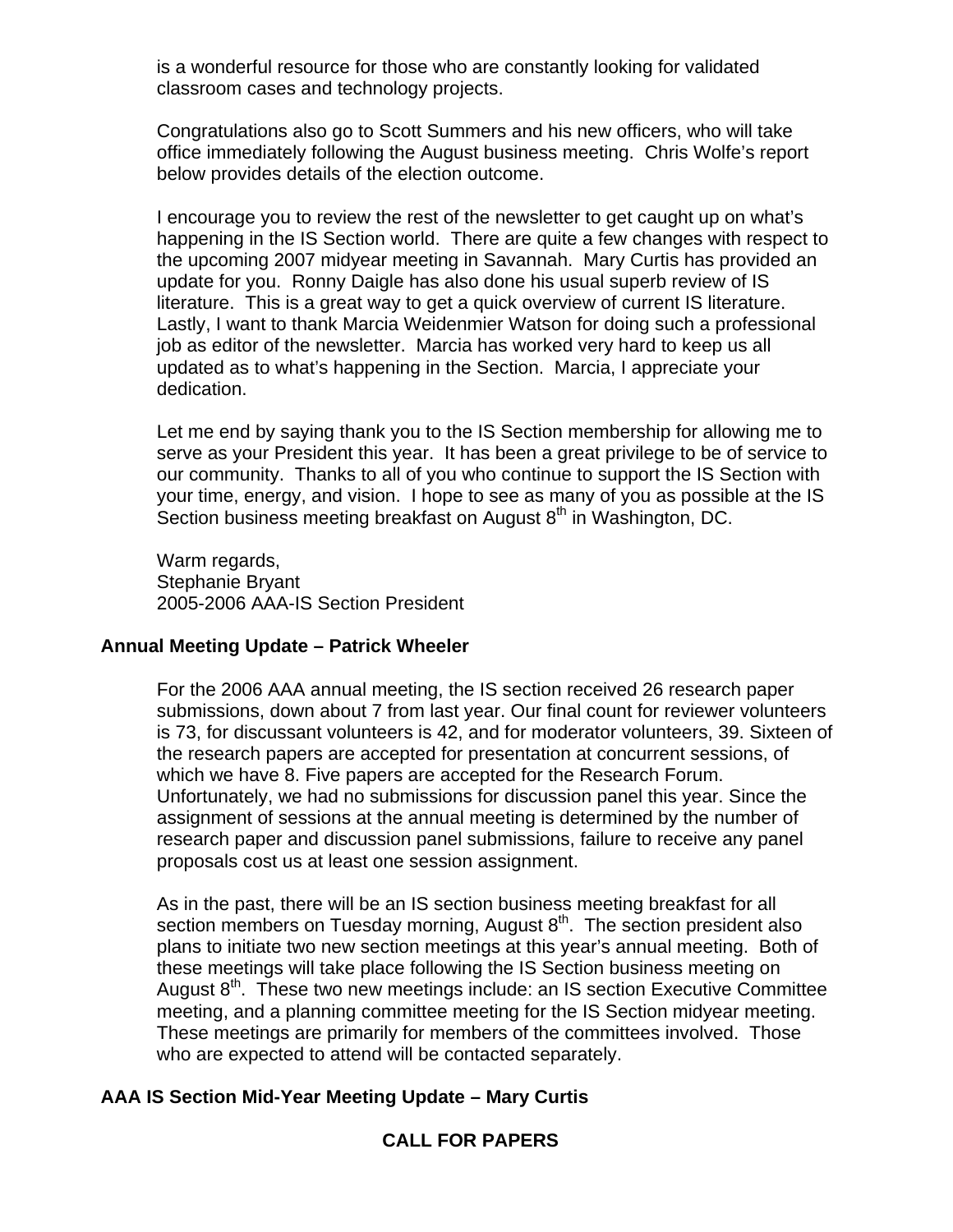<span id="page-2-0"></span>is a wonderful resource for those who are constantly looking for validated classroom cases and technology projects.

Congratulations also go to Scott Summers and his new officers, who will take office immediately following the August business meeting. Chris Wolfe's report below provides details of the election outcome.

I encourage you to review the rest of the newsletter to get caught up on what's happening in the IS Section world. There are quite a few changes with respect to the upcoming 2007 midyear meeting in Savannah. Mary Curtis has provided an update for you. Ronny Daigle has also done his usual superb review of IS literature. This is a great way to get a quick overview of current IS literature. Lastly, I want to thank Marcia Weidenmier Watson for doing such a professional job as editor of the newsletter. Marcia has worked very hard to keep us all updated as to what's happening in the Section. Marcia, I appreciate your dedication.

Let me end by saying thank you to the IS Section membership for allowing me to serve as your President this year. It has been a great privilege to be of service to our community. Thanks to all of you who continue to support the IS Section with your time, energy, and vision. I hope to see as many of you as possible at the IS Section business meeting breakfast on August 8<sup>th</sup> in Washington, DC.

Warm regards, Stephanie Bryant 2005-2006 AAA-IS Section President

#### **Annual Meeting Update – Patrick Wheeler**

For the 2006 AAA annual meeting, the IS section received 26 research paper submissions, down about 7 from last year. Our final count for reviewer volunteers is 73, for discussant volunteers is 42, and for moderator volunteers, 39. Sixteen of the research papers are accepted for presentation at concurrent sessions, of which we have 8. Five papers are accepted for the Research Forum. Unfortunately, we had no submissions for discussion panel this year. Since the assignment of sessions at the annual meeting is determined by the number of research paper and discussion panel submissions, failure to receive any panel proposals cost us at least one session assignment.

As in the past, there will be an IS section business meeting breakfast for all section members on Tuesday morning, August  $8<sup>th</sup>$ . The section president also plans to initiate two new section meetings at this year's annual meeting. Both of these meetings will take place following the IS Section business meeting on August  $8<sup>th</sup>$ . These two new meetings include: an IS section Executive Committee meeting, and a planning committee meeting for the IS Section midyear meeting. These meetings are primarily for members of the committees involved. Those who are expected to attend will be contacted separately.

# **AAA IS Section Mid-Year Meeting Update – Mary Curtis**

# **CALL FOR PAPERS**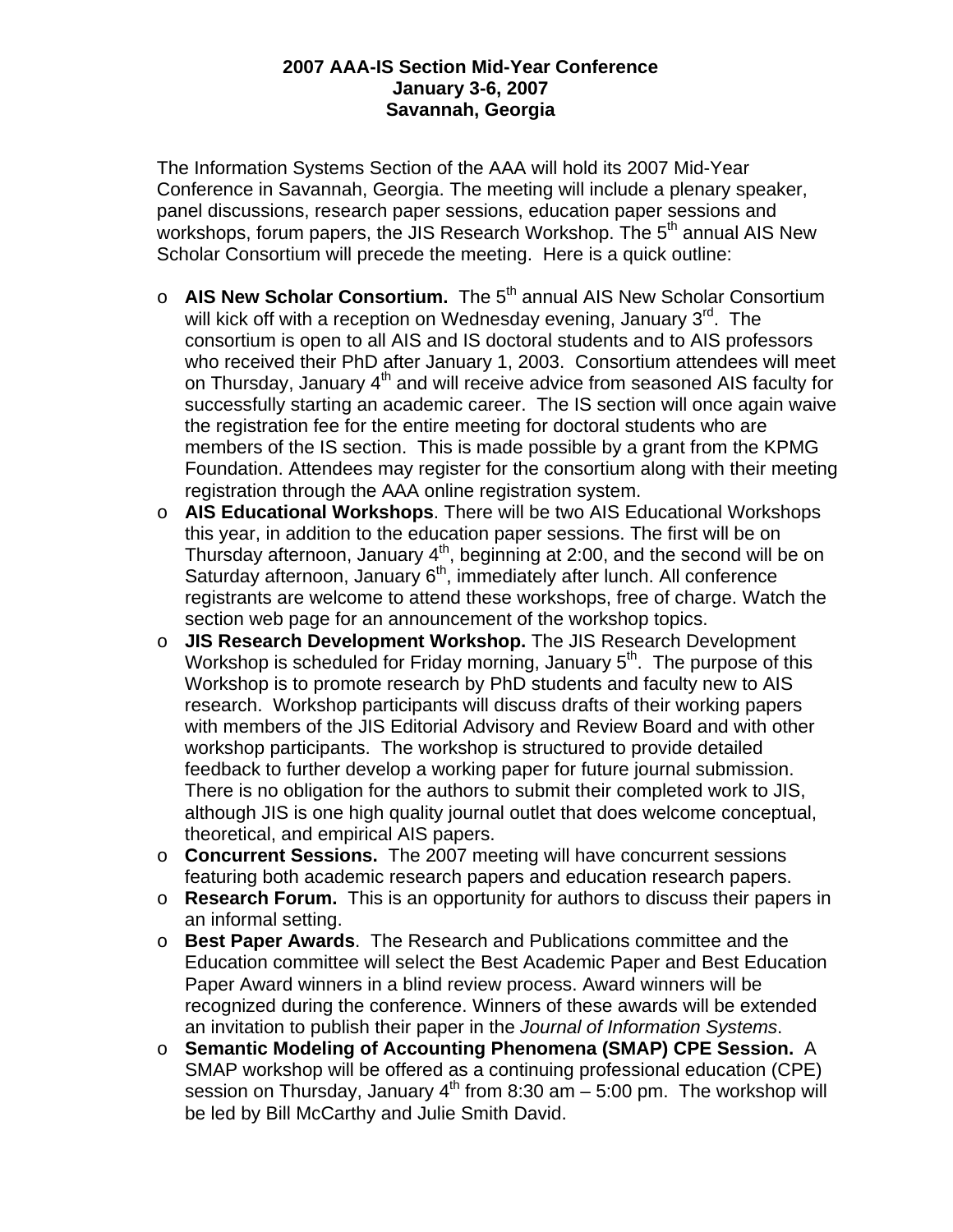#### **2007 AAA-IS Section Mid-Year Conference January 3-6, 2007 Savannah, Georgia**

The Information Systems Section of the AAA will hold its 2007 Mid-Year Conference in Savannah, Georgia. The meeting will include a plenary speaker, panel discussions, research paper sessions, education paper sessions and workshops, forum papers, the JIS Research Workshop. The 5<sup>th</sup> annual AIS New Scholar Consortium will precede the meeting. Here is a quick outline:

- o **AIS New Scholar Consortium.** The 5<sup>th</sup> annual AIS New Scholar Consortium will kick off with a reception on Wednesday evening. January 3<sup>rd</sup>. The consortium is open to all AIS and IS doctoral students and to AIS professors who received their PhD after January 1, 2003. Consortium attendees will meet on Thursday, January 4<sup>th</sup> and will receive advice from seasoned AIS faculty for successfully starting an academic career. The IS section will once again waive the registration fee for the entire meeting for doctoral students who are members of the IS section. This is made possible by a grant from the KPMG Foundation. Attendees may register for the consortium along with their meeting registration through the AAA online registration system.
- o **AIS Educational Workshops**. There will be two AIS Educational Workshops this year, in addition to the education paper sessions. The first will be on Thursday afternoon, January 4<sup>th</sup>, beginning at 2:00, and the second will be on Saturday afternoon, January 6th, immediately after lunch. All conference registrants are welcome to attend these workshops, free of charge. Watch the section web page for an announcement of the workshop topics.
- o **JIS Research Development Workshop.** The JIS Research Development Workshop is scheduled for Friday morning, January  $5<sup>th</sup>$ . The purpose of this Workshop is to promote research by PhD students and faculty new to AIS research. Workshop participants will discuss drafts of their working papers with members of the JIS Editorial Advisory and Review Board and with other workshop participants. The workshop is structured to provide detailed feedback to further develop a working paper for future journal submission. There is no obligation for the authors to submit their completed work to JIS, although JIS is one high quality journal outlet that does welcome conceptual, theoretical, and empirical AIS papers.
- o **Concurrent Sessions.** The 2007 meeting will have concurrent sessions featuring both academic research papers and education research papers.
- o **Research Forum.** This is an opportunity for authors to discuss their papers in an informal setting.
- o **Best Paper Awards**. The Research and Publications committee and the Education committee will select the Best Academic Paper and Best Education Paper Award winners in a blind review process. Award winners will be recognized during the conference. Winners of these awards will be extended an invitation to publish their paper in the *Journal of Information Systems*.
- o **Semantic Modeling of Accounting Phenomena (SMAP) CPE Session.** A SMAP workshop will be offered as a continuing professional education (CPE) session on Thursday, January  $4<sup>th</sup>$  from 8:30 am – 5:00 pm. The workshop will be led by Bill McCarthy and Julie Smith David.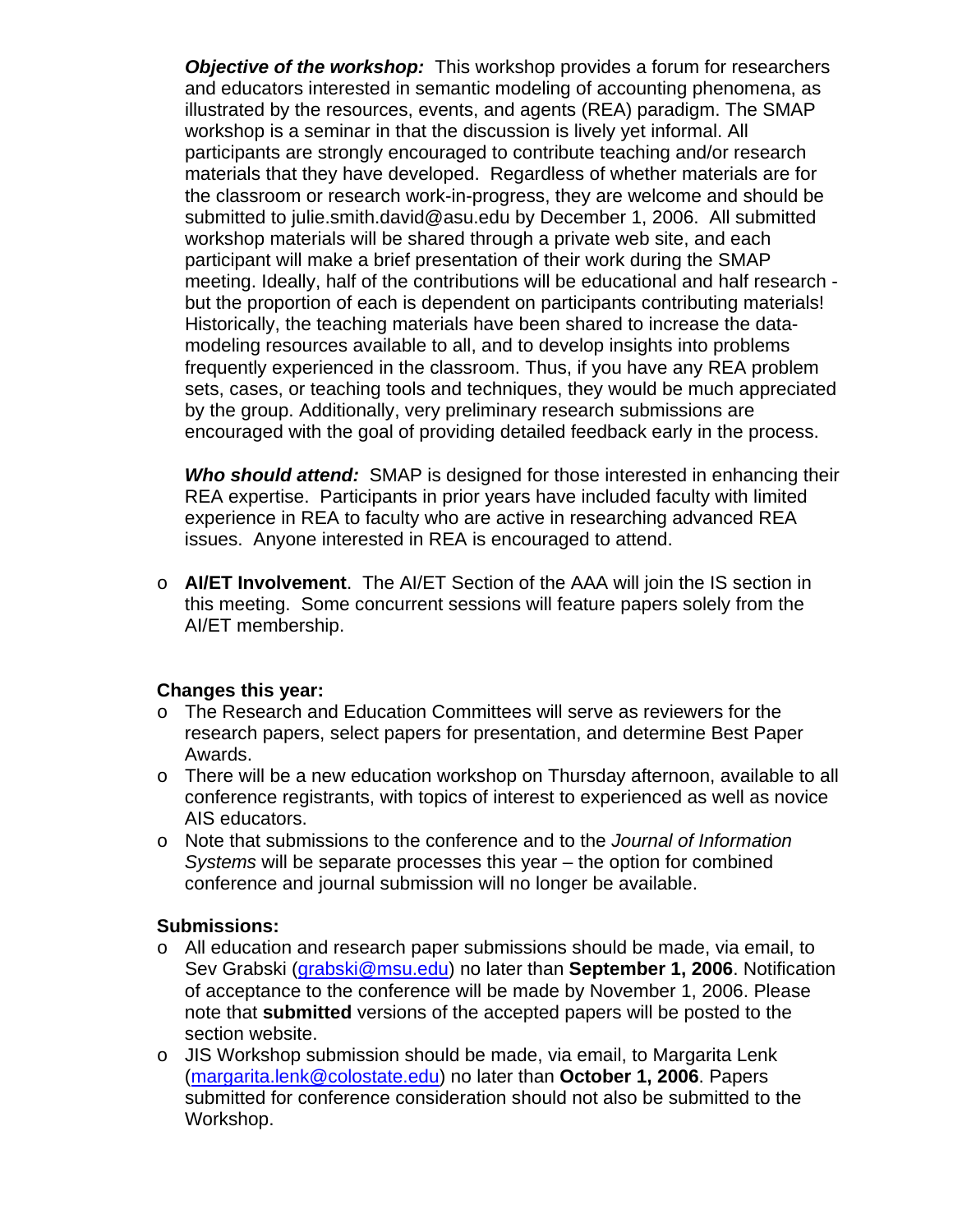*Objective of the workshop:* This workshop provides a forum for researchers and educators interested in semantic modeling of accounting phenomena, as illustrated by the resources, events, and agents (REA) paradigm. The SMAP workshop is a seminar in that the discussion is lively yet informal. All participants are strongly encouraged to contribute teaching and/or research materials that they have developed. Regardless of whether materials are for the classroom or research work-in-progress, they are welcome and should be submitted to julie.smith.david@asu.edu by December 1, 2006. All submitted workshop materials will be shared through a private web site, and each participant will make a brief presentation of their work during the SMAP meeting. Ideally, half of the contributions will be educational and half research but the proportion of each is dependent on participants contributing materials! Historically, the teaching materials have been shared to increase the datamodeling resources available to all, and to develop insights into problems frequently experienced in the classroom. Thus, if you have any REA problem sets, cases, or teaching tools and techniques, they would be much appreciated by the group. Additionally, very preliminary research submissions are encouraged with the goal of providing detailed feedback early in the process.

*Who should attend:* SMAP is designed for those interested in enhancing their REA expertise. Participants in prior years have included faculty with limited experience in REA to faculty who are active in researching advanced REA issues. Anyone interested in REA is encouraged to attend.

o **AI/ET Involvement**. The AI/ET Section of the AAA will join the IS section in this meeting. Some concurrent sessions will feature papers solely from the AI/ET membership.

# **Changes this year:**

- o The Research and Education Committees will serve as reviewers for the research papers, select papers for presentation, and determine Best Paper Awards.
- o There will be a new education workshop on Thursday afternoon, available to all conference registrants, with topics of interest to experienced as well as novice AIS educators.
- o Note that submissions to the conference and to the *Journal of Information Systems* will be separate processes this year – the option for combined conference and journal submission will no longer be available.

#### **Submissions:**

- o All education and research paper submissions should be made, via email, to Sev Grabski ([grabski@msu.edu](mailto:grabski@msu.edu)) no later than **September 1, 2006**. Notification of acceptance to the conference will be made by November 1, 2006. Please note that **submitted** versions of the accepted papers will be posted to the section website.
- o JIS Workshop submission should be made, via email, to Margarita Lenk ([margarita.lenk@colostate.edu](mailto:margarita.lenk@colostate.edu)) no later than **October 1, 2006**. Papers submitted for conference consideration should not also be submitted to the Workshop.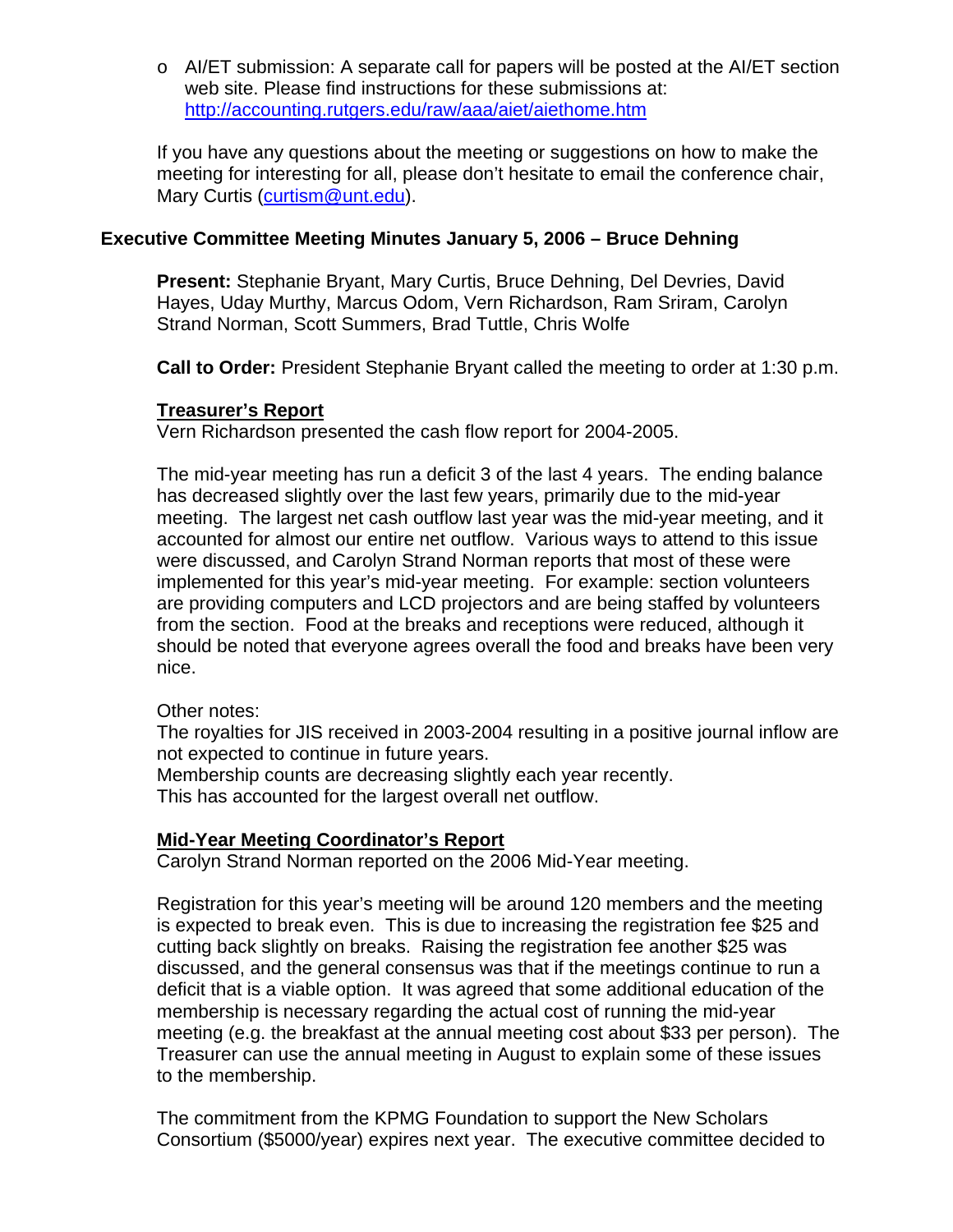<span id="page-5-0"></span>o AI/ET submission: A separate call for papers will be posted at the AI/ET section web site. Please find instructions for these submissions at: <http://accounting.rutgers.edu/raw/aaa/aiet/aiethome.htm>

If you have any questions about the meeting or suggestions on how to make the meeting for interesting for all, please don't hesitate to email the conference chair, Mary Curtis [\(curtism@unt.edu](mailto:curtism@unt.edu)).

# **Executive Committee Meeting Minutes January 5, 2006 – Bruce Dehning**

**Present:** Stephanie Bryant, Mary Curtis, Bruce Dehning, Del Devries, David Hayes, Uday Murthy, Marcus Odom, Vern Richardson, Ram Sriram, Carolyn Strand Norman, Scott Summers, Brad Tuttle, Chris Wolfe

**Call to Order:** President Stephanie Bryant called the meeting to order at 1:30 p.m.

# **Treasurer's Report**

Vern Richardson presented the cash flow report for 2004-2005.

The mid-year meeting has run a deficit 3 of the last 4 years. The ending balance has decreased slightly over the last few years, primarily due to the mid-year meeting. The largest net cash outflow last year was the mid-year meeting, and it accounted for almost our entire net outflow. Various ways to attend to this issue were discussed, and Carolyn Strand Norman reports that most of these were implemented for this year's mid-year meeting. For example: section volunteers are providing computers and LCD projectors and are being staffed by volunteers from the section. Food at the breaks and receptions were reduced, although it should be noted that everyone agrees overall the food and breaks have been very nice.

# Other notes:

The royalties for JIS received in 2003-2004 resulting in a positive journal inflow are not expected to continue in future years. Membership counts are decreasing slightly each year recently. This has accounted for the largest overall net outflow.

# **Mid-Year Meeting Coordinator's Report**

Carolyn Strand Norman reported on the 2006 Mid-Year meeting.

Registration for this year's meeting will be around 120 members and the meeting is expected to break even. This is due to increasing the registration fee \$25 and cutting back slightly on breaks. Raising the registration fee another \$25 was discussed, and the general consensus was that if the meetings continue to run a deficit that is a viable option. It was agreed that some additional education of the membership is necessary regarding the actual cost of running the mid-year meeting (e.g. the breakfast at the annual meeting cost about \$33 per person). The Treasurer can use the annual meeting in August to explain some of these issues to the membership.

The commitment from the KPMG Foundation to support the New Scholars Consortium (\$5000/year) expires next year. The executive committee decided to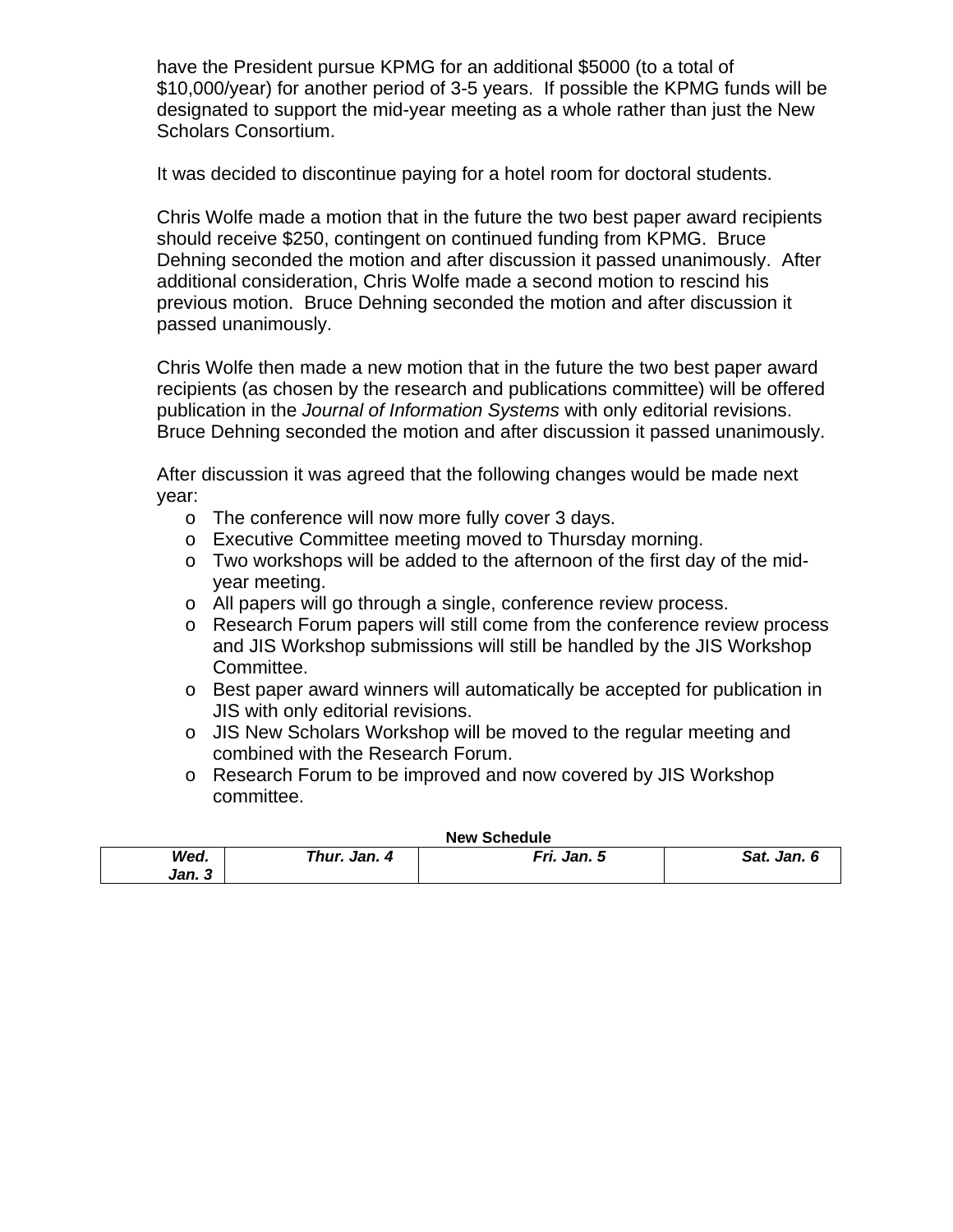have the President pursue KPMG for an additional \$5000 (to a total of \$10,000/year) for another period of 3-5 years. If possible the KPMG funds will be designated to support the mid-year meeting as a whole rather than just the New Scholars Consortium.

It was decided to discontinue paying for a hotel room for doctoral students.

Chris Wolfe made a motion that in the future the two best paper award recipients should receive \$250, contingent on continued funding from KPMG. Bruce Dehning seconded the motion and after discussion it passed unanimously. After additional consideration, Chris Wolfe made a second motion to rescind his previous motion. Bruce Dehning seconded the motion and after discussion it passed unanimously.

Chris Wolfe then made a new motion that in the future the two best paper award recipients (as chosen by the research and publications committee) will be offered publication in the *Journal of Information Systems* with only editorial revisions. Bruce Dehning seconded the motion and after discussion it passed unanimously.

After discussion it was agreed that the following changes would be made next year:

- o The conference will now more fully cover 3 days.
- o Executive Committee meeting moved to Thursday morning.
- $\circ$  Two workshops will be added to the afternoon of the first day of the midyear meeting.
- o All papers will go through a single, conference review process.
- o Research Forum papers will still come from the conference review process and JIS Workshop submissions will still be handled by the JIS Workshop Committee.
- o Best paper award winners will automatically be accepted for publication in JIS with only editorial revisions.
- o JIS New Scholars Workshop will be moved to the regular meeting and combined with the Research Forum.
- o Research Forum to be improved and now covered by JIS Workshop committee.

| <b>New Schedule</b> |  |
|---------------------|--|
|---------------------|--|

| ---------------- |              |             |             |
|------------------|--------------|-------------|-------------|
| Wed.             | Thur. Jan. 4 | Fri. Jan. 5 | Sat. Jan. 6 |
| А.<br>Jan. 3     |              |             |             |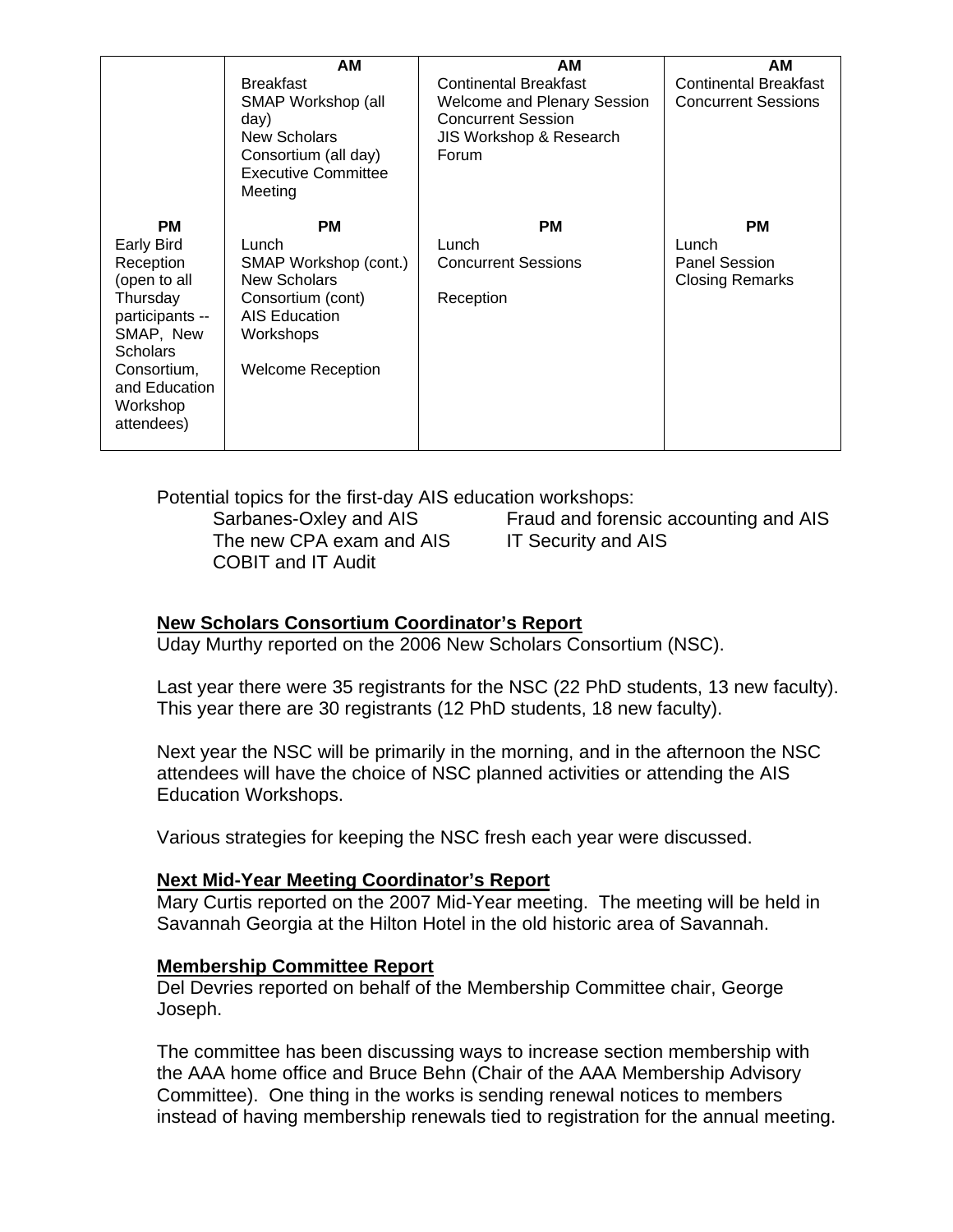|                                                                                                                                                                        | AМ                                                                                                                                  | AМ                                                                                                                           | АM                                                                   |
|------------------------------------------------------------------------------------------------------------------------------------------------------------------------|-------------------------------------------------------------------------------------------------------------------------------------|------------------------------------------------------------------------------------------------------------------------------|----------------------------------------------------------------------|
|                                                                                                                                                                        | <b>Breakfast</b><br>SMAP Workshop (all<br>day)<br>New Scholars<br>Consortium (all day)<br>Executive Committee<br>Meeting            | <b>Continental Breakfast</b><br>Welcome and Plenary Session<br><b>Concurrent Session</b><br>JIS Workshop & Research<br>Forum | <b>Continental Breakfast</b><br><b>Concurrent Sessions</b>           |
| PМ<br>Early Bird<br>Reception<br>(open to all<br>Thursday<br>participants --<br>SMAP, New<br><b>Scholars</b><br>Consortium,<br>and Education<br>Workshop<br>attendees) | <b>PM</b><br>Lunch<br>SMAP Workshop (cont.)<br>New Scholars<br>Consortium (cont)<br>AIS Education<br>Workshops<br>Welcome Reception | <b>PM</b><br>Lunch<br><b>Concurrent Sessions</b><br>Reception                                                                | <b>PM</b><br>Lunch<br><b>Panel Session</b><br><b>Closing Remarks</b> |

Potential topics for the first-day AIS education workshops: Sarbanes-Oxley and AIS The new CPA exam and AIS COBIT and IT Audit Fraud and forensic accounting and AIS IT Security and AIS

#### **New Scholars Consortium Coordinator's Report**

Uday Murthy reported on the 2006 New Scholars Consortium (NSC).

Last year there were 35 registrants for the NSC (22 PhD students, 13 new faculty). This year there are 30 registrants (12 PhD students, 18 new faculty).

Next year the NSC will be primarily in the morning, and in the afternoon the NSC attendees will have the choice of NSC planned activities or attending the AIS Education Workshops.

Various strategies for keeping the NSC fresh each year were discussed.

#### **Next Mid-Year Meeting Coordinator's Report**

Mary Curtis reported on the 2007 Mid-Year meeting. The meeting will be held in Savannah Georgia at the Hilton Hotel in the old historic area of Savannah.

#### **Membership Committee Report**

Del Devries reported on behalf of the Membership Committee chair, George Joseph.

The committee has been discussing ways to increase section membership with the AAA home office and Bruce Behn (Chair of the AAA Membership Advisory Committee). One thing in the works is sending renewal notices to members instead of having membership renewals tied to registration for the annual meeting.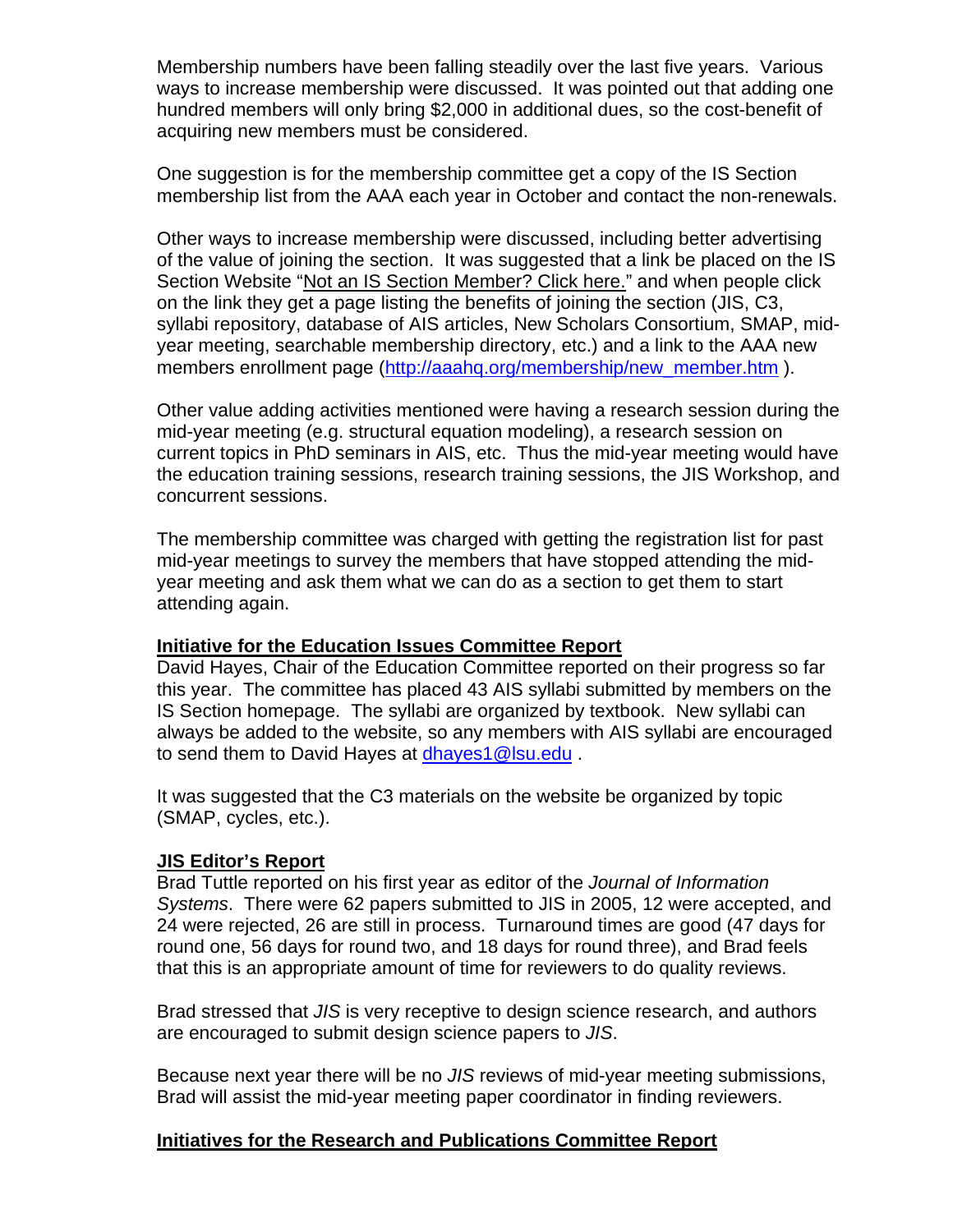Membership numbers have been falling steadily over the last five years. Various ways to increase membership were discussed. It was pointed out that adding one hundred members will only bring \$2,000 in additional dues, so the cost-benefit of acquiring new members must be considered.

One suggestion is for the membership committee get a copy of the IS Section membership list from the AAA each year in October and contact the non-renewals.

Other ways to increase membership were discussed, including better advertising of the value of joining the section. It was suggested that a link be placed on the IS Section Website "Not an IS Section Member? Click here." and when people click on the link they get a page listing the benefits of joining the section (JIS, C3, syllabi repository, database of AIS articles, New Scholars Consortium, SMAP, midyear meeting, searchable membership directory, etc.) and a link to the AAA new members enrollment page ([http://aaahq.org/membership/new\\_member.htm](http://aaahq.org/membership/new_member.htm) ).

Other value adding activities mentioned were having a research session during the mid-year meeting (e.g. structural equation modeling), a research session on current topics in PhD seminars in AIS, etc. Thus the mid-year meeting would have the education training sessions, research training sessions, the JIS Workshop, and concurrent sessions.

The membership committee was charged with getting the registration list for past mid-year meetings to survey the members that have stopped attending the midyear meeting and ask them what we can do as a section to get them to start attending again.

# **Initiative for the Education Issues Committee Report**

David Hayes, Chair of the Education Committee reported on their progress so far this year. The committee has placed 43 AIS syllabi submitted by members on the IS Section homepage. The syllabi are organized by textbook. New syllabi can always be added to the website, so any members with AIS syllabi are encouraged to send them to David Hayes at [dhayes1@lsu.edu](mailto:dhayes1@lsu.edu) .

It was suggested that the C3 materials on the website be organized by topic (SMAP, cycles, etc.).

#### **JIS Editor's Report**

Brad Tuttle reported on his first year as editor of the *Journal of Information Systems*. There were 62 papers submitted to JIS in 2005, 12 were accepted, and 24 were rejected, 26 are still in process. Turnaround times are good (47 days for round one, 56 days for round two, and 18 days for round three), and Brad feels that this is an appropriate amount of time for reviewers to do quality reviews.

Brad stressed that *JIS* is very receptive to design science research, and authors are encouraged to submit design science papers to *JIS*.

Because next year there will be no *JIS* reviews of mid-year meeting submissions, Brad will assist the mid-year meeting paper coordinator in finding reviewers.

# **Initiatives for the Research and Publications Committee Report**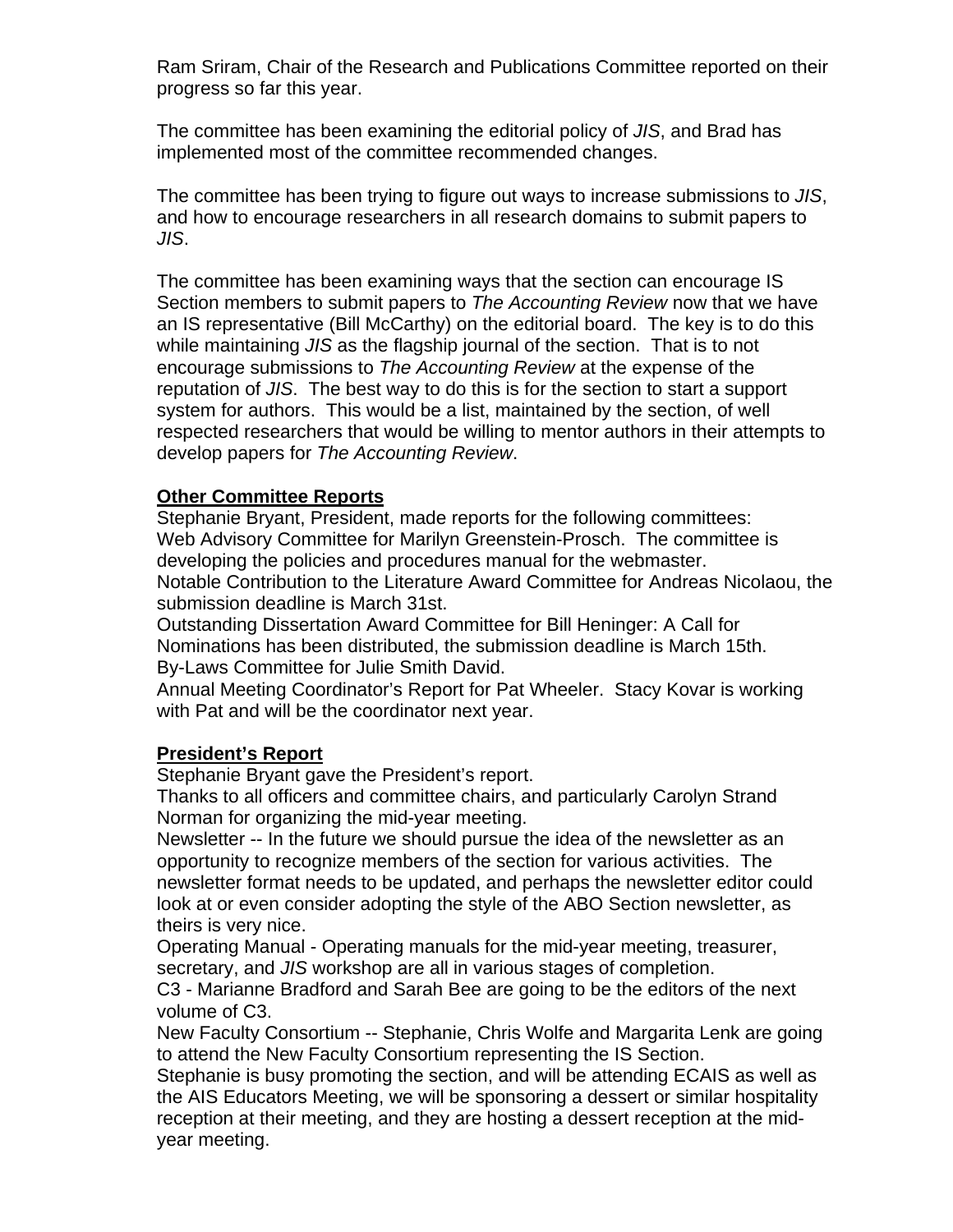Ram Sriram, Chair of the Research and Publications Committee reported on their progress so far this year.

The committee has been examining the editorial policy of *JIS*, and Brad has implemented most of the committee recommended changes.

The committee has been trying to figure out ways to increase submissions to *JIS*, and how to encourage researchers in all research domains to submit papers to *JIS*.

The committee has been examining ways that the section can encourage IS Section members to submit papers to *The Accounting Review* now that we have an IS representative (Bill McCarthy) on the editorial board. The key is to do this while maintaining *JIS* as the flagship journal of the section. That is to not encourage submissions to *The Accounting Review* at the expense of the reputation of *JIS*. The best way to do this is for the section to start a support system for authors. This would be a list, maintained by the section, of well respected researchers that would be willing to mentor authors in their attempts to develop papers for *The Accounting Review*.

#### **Other Committee Reports**

Stephanie Bryant, President, made reports for the following committees: Web Advisory Committee for Marilyn Greenstein-Prosch. The committee is developing the policies and procedures manual for the webmaster. Notable Contribution to the Literature Award Committee for Andreas Nicolaou, the submission deadline is March 31st.

Outstanding Dissertation Award Committee for Bill Heninger: A Call for Nominations has been distributed, the submission deadline is March 15th. By-Laws Committee for Julie Smith David.

Annual Meeting Coordinator's Report for Pat Wheeler. Stacy Kovar is working with Pat and will be the coordinator next year.

#### **President's Report**

Stephanie Bryant gave the President's report.

Thanks to all officers and committee chairs, and particularly Carolyn Strand Norman for organizing the mid-year meeting.

Newsletter -- In the future we should pursue the idea of the newsletter as an opportunity to recognize members of the section for various activities. The newsletter format needs to be updated, and perhaps the newsletter editor could look at or even consider adopting the style of the ABO Section newsletter, as theirs is very nice.

Operating Manual - Operating manuals for the mid-year meeting, treasurer, secretary, and *JIS* workshop are all in various stages of completion.

C3 - Marianne Bradford and Sarah Bee are going to be the editors of the next volume of C3.

New Faculty Consortium -- Stephanie, Chris Wolfe and Margarita Lenk are going to attend the New Faculty Consortium representing the IS Section.

Stephanie is busy promoting the section, and will be attending ECAIS as well as the AIS Educators Meeting, we will be sponsoring a dessert or similar hospitality reception at their meeting, and they are hosting a dessert reception at the midyear meeting.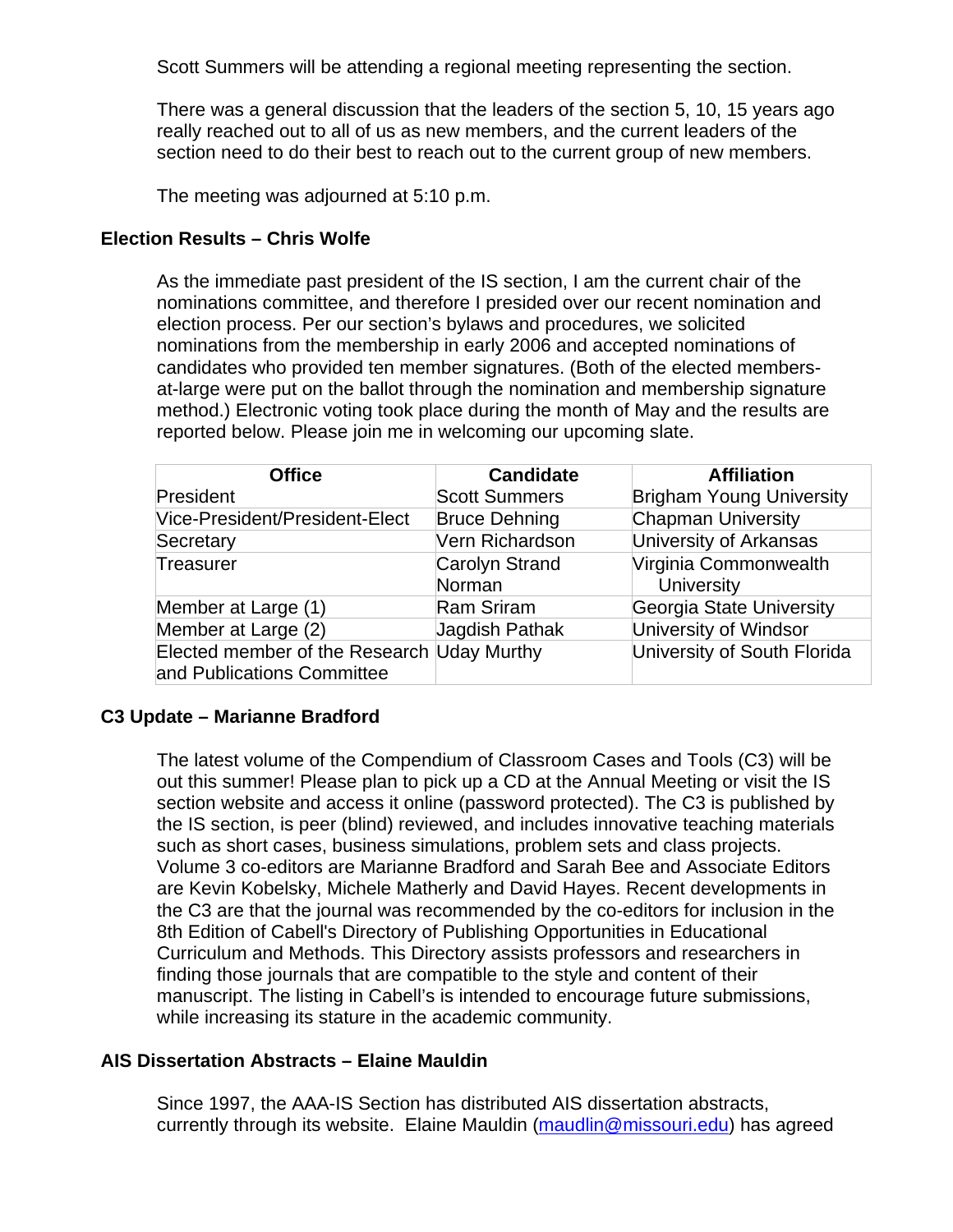<span id="page-10-0"></span>Scott Summers will be attending a regional meeting representing the section.

There was a general discussion that the leaders of the section 5, 10, 15 years ago really reached out to all of us as new members, and the current leaders of the section need to do their best to reach out to the current group of new members.

The meeting was adjourned at 5:10 p.m.

# **Election Results – Chris Wolfe**

As the immediate past president of the IS section, I am the current chair of the nominations committee, and therefore I presided over our recent nomination and election process. Per our section's bylaws and procedures, we solicited nominations from the membership in early 2006 and accepted nominations of candidates who provided ten member signatures. (Both of the elected membersat-large were put on the ballot through the nomination and membership signature method.) Electronic voting took place during the month of May and the results are reported below. Please join me in welcoming our upcoming slate.

| <b>Office</b>                              | <b>Candidate</b>      | <b>Affiliation</b>              |
|--------------------------------------------|-----------------------|---------------------------------|
| President                                  | <b>Scott Summers</b>  | <b>Brigham Young University</b> |
| Vice-President/President-Elect             | <b>Bruce Dehning</b>  | <b>Chapman University</b>       |
| Secretary                                  | Vern Richardson       | University of Arkansas          |
| Treasurer                                  | <b>Carolyn Strand</b> | Virginia Commonwealth           |
|                                            | Norman                | University                      |
| Member at Large (1)                        | Ram Sriram            | Georgia State University        |
| Member at Large (2)                        | Jagdish Pathak        | University of Windsor           |
| Elected member of the Research Uday Murthy |                       | University of South Florida     |
| and Publications Committee                 |                       |                                 |

# **C3 Update – Marianne Bradford**

The latest volume of the Compendium of Classroom Cases and Tools (C3) will be out this summer! Please plan to pick up a CD at the Annual Meeting or visit the IS section website and access it online (password protected). The C3 is published by the IS section, is peer (blind) reviewed, and includes innovative teaching materials such as short cases, business simulations, problem sets and class projects. Volume 3 co-editors are Marianne Bradford and Sarah Bee and Associate Editors are Kevin Kobelsky, Michele Matherly and David Hayes. Recent developments in the C3 are that the journal was recommended by the co-editors for inclusion in the 8th Edition of Cabell's Directory of Publishing Opportunities in Educational Curriculum and Methods. This Directory assists professors and researchers in finding those journals that are compatible to the style and content of their manuscript. The listing in Cabell's is intended to encourage future submissions, while increasing its stature in the academic community.

# **AIS Dissertation Abstracts – Elaine Mauldin**

Since 1997, the AAA-IS Section has distributed AIS dissertation abstracts, currently through its website. Elaine Mauldin [\(maudlin@missouri.edu](mailto:maudlin@missouri.edu)) has agreed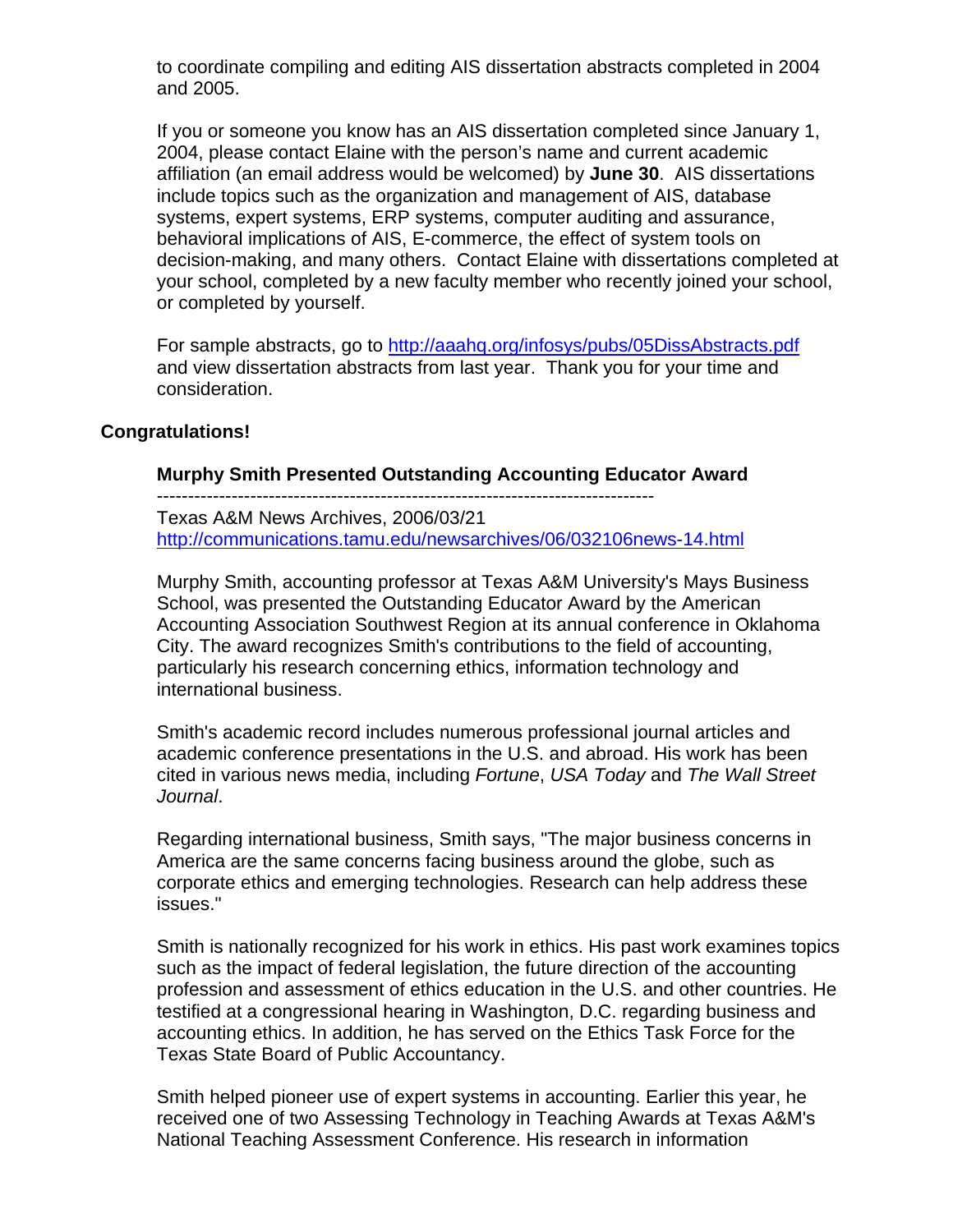<span id="page-11-0"></span>to coordinate compiling and editing AIS dissertation abstracts completed in 2004 and 2005.

If you or someone you know has an AIS dissertation completed since January 1, 2004, please contact Elaine with the person's name and current academic affiliation (an email address would be welcomed) by **June 30**. AIS dissertations include topics such as the organization and management of AIS, database systems, expert systems, ERP systems, computer auditing and assurance, behavioral implications of AIS, E-commerce, the effect of system tools on decision-making, and many others. Contact Elaine with dissertations completed at your school, completed by a new faculty member who recently joined your school, or completed by yourself.

For sample abstracts, go to<http://aaahq.org/infosys/pubs/05DissAbstracts.pdf> and view dissertation abstracts from last year. Thank you for your time and consideration.

#### **Congratulations!**

#### **Murphy Smith Presented Outstanding Accounting Educator Award**

--------------------------------------------------------------------------------

Texas A&M News Archives, 2006/03/21 <http://communications.tamu.edu/newsarchives/06/032106news-14.html>

Murphy Smith, accounting professor at Texas A&M University's Mays Business School, was presented the Outstanding Educator Award by the American Accounting Association Southwest Region at its annual conference in Oklahoma City. The award recognizes Smith's contributions to the field of accounting, particularly his research concerning ethics, information technology and international business.

Smith's academic record includes numerous professional journal articles and academic conference presentations in the U.S. and abroad. His work has been cited in various news media, including *Fortune*, *USA Today* and *The Wall Street Journal*.

Regarding international business, Smith says, "The major business concerns in America are the same concerns facing business around the globe, such as corporate ethics and emerging technologies. Research can help address these issues."

Smith is nationally recognized for his work in ethics. His past work examines topics such as the impact of federal legislation, the future direction of the accounting profession and assessment of ethics education in the U.S. and other countries. He testified at a congressional hearing in Washington, D.C. regarding business and accounting ethics. In addition, he has served on the Ethics Task Force for the Texas State Board of Public Accountancy.

Smith helped pioneer use of expert systems in accounting. Earlier this year, he received one of two Assessing Technology in Teaching Awards at Texas A&M's National Teaching Assessment Conference. His research in information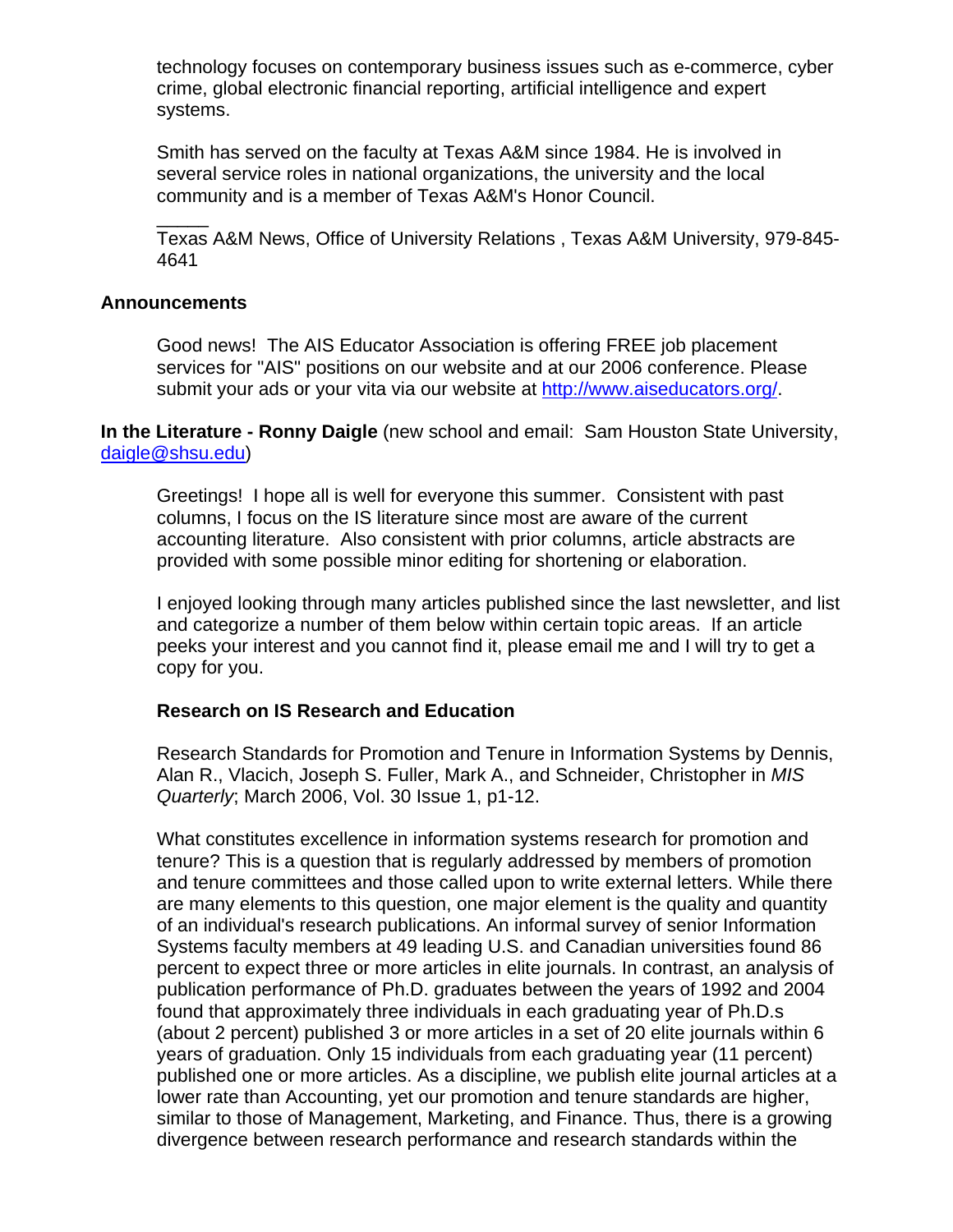<span id="page-12-0"></span>technology focuses on contemporary business issues such as e-commerce, cyber crime, global electronic financial reporting, artificial intelligence and expert systems.

Smith has served on the faculty at Texas A&M since 1984. He is involved in several service roles in national organizations, the university and the local community and is a member of Texas A&M's Honor Council.

\_\_\_\_\_ Texas A&M News, Office of University Relations , Texas A&M University, 979-845- 4641

## **Announcements**

Good news! The AIS Educator Association is offering FREE job placement services for "AIS" positions on our website and at our 2006 conference. Please submit your ads or your vita via our website at [http://www.aiseducators.org/.](http://www.aiseducators.org/)

**In the Literature - Ronny Daigle** (new school and email: Sam Houston State University, [daigle@shsu.edu\)](mailto:daigle@shsu.edu)

Greetings! I hope all is well for everyone this summer. Consistent with past columns, I focus on the IS literature since most are aware of the current accounting literature. Also consistent with prior columns, article abstracts are provided with some possible minor editing for shortening or elaboration.

I enjoyed looking through many articles published since the last newsletter, and list and categorize a number of them below within certain topic areas. If an article peeks your interest and you cannot find it, please email me and I will try to get a copy for you.

# **Research on IS Research and Education**

Research Standards for Promotion and Tenure in Information Systems by Dennis, Alan R., Vlacich, Joseph S. Fuller, Mark A., and Schneider, Christopher in *MIS Quarterly*; March 2006, Vol. 30 Issue 1, p1-12.

What constitutes excellence in information systems research for promotion and tenure? This is a question that is regularly addressed by members of promotion and tenure committees and those called upon to write external letters. While there are many elements to this question, one major element is the quality and quantity of an individual's research publications. An informal survey of senior Information Systems faculty members at 49 leading U.S. and Canadian universities found 86 percent to expect three or more articles in elite journals. In contrast, an analysis of publication performance of Ph.D. graduates between the years of 1992 and 2004 found that approximately three individuals in each graduating year of Ph.D.s (about 2 percent) published 3 or more articles in a set of 20 elite journals within 6 years of graduation. Only 15 individuals from each graduating year (11 percent) published one or more articles. As a discipline, we publish elite journal articles at a lower rate than Accounting, yet our promotion and tenure standards are higher, similar to those of Management, Marketing, and Finance. Thus, there is a growing divergence between research performance and research standards within the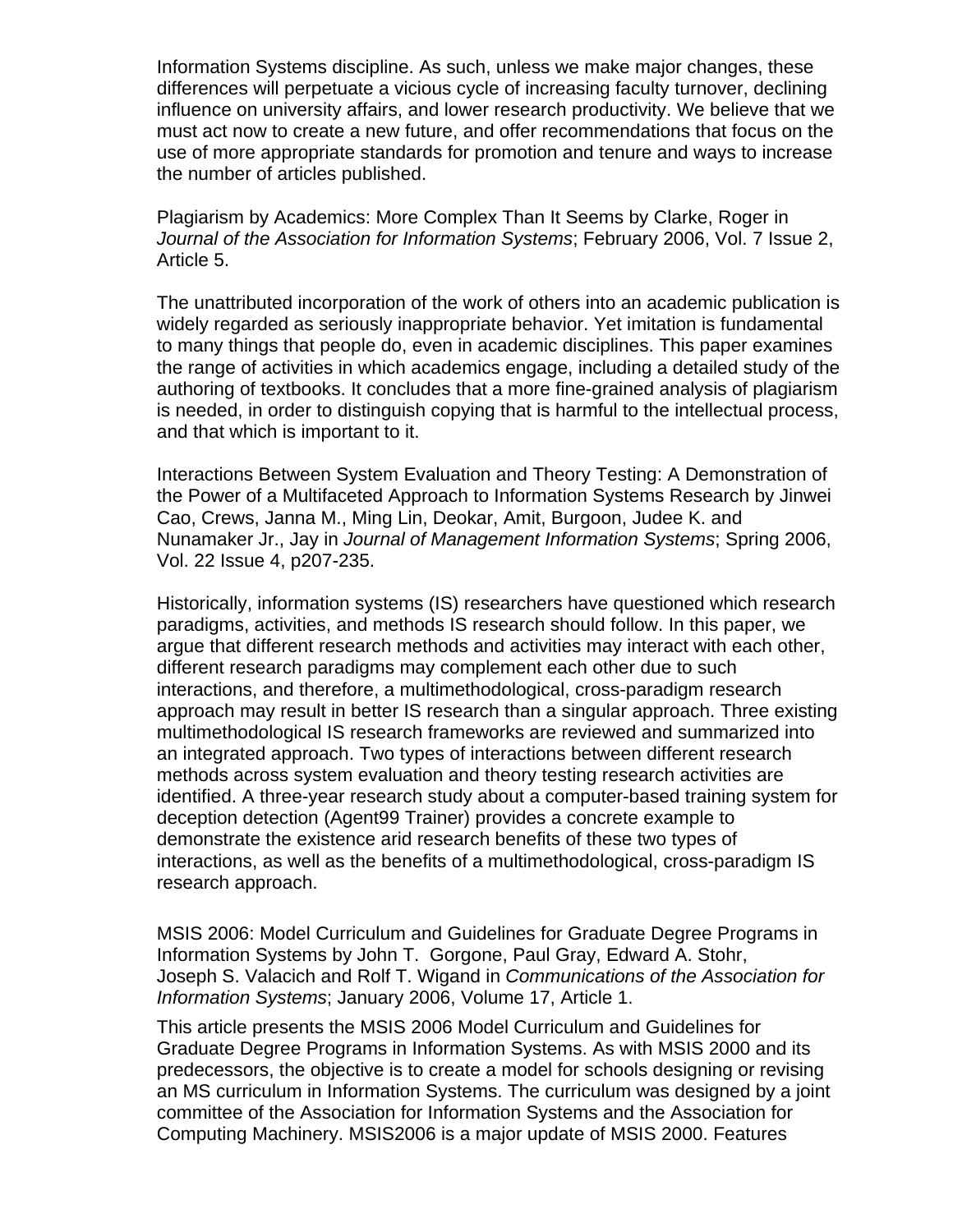Information Systems discipline. As such, unless we make major changes, these differences will perpetuate a vicious cycle of increasing faculty turnover, declining influence on university affairs, and lower research productivity. We believe that we must act now to create a new future, and offer recommendations that focus on the use of more appropriate standards for promotion and tenure and ways to increase the number of articles published.

Plagiarism by Academics: More Complex Than It Seems by Clarke, Roger in *Journal of the Association for Information Systems*; February 2006, Vol. 7 Issue 2, Article 5.

The unattributed incorporation of the work of others into an academic publication is widely regarded as seriously inappropriate behavior. Yet imitation is fundamental to many things that people do, even in academic disciplines. This paper examines the range of activities in which academics engage, including a detailed study of the authoring of textbooks. It concludes that a more fine-grained analysis of plagiarism is needed, in order to distinguish copying that is harmful to the intellectual process, and that which is important to it.

Interactions Between System Evaluation and Theory Testing: A Demonstration of the Power of a Multifaceted Approach to Information Systems Research by Jinwei Cao, Crews, Janna M., Ming Lin, Deokar, Amit, Burgoon, Judee K. and Nunamaker Jr., Jay in *Journal of Management Information Systems*; Spring 2006, Vol. 22 Issue 4, p207-235.

Historically, information systems (IS) researchers have questioned which research paradigms, activities, and methods IS research should follow. In this paper, we argue that different research methods and activities may interact with each other, different research paradigms may complement each other due to such interactions, and therefore, a multimethodological, cross-paradigm research approach may result in better IS research than a singular approach. Three existing multimethodological IS research frameworks are reviewed and summarized into an integrated approach. Two types of interactions between different research methods across system evaluation and theory testing research activities are identified. A three-year research study about a computer-based training system for deception detection (Agent99 Trainer) provides a concrete example to demonstrate the existence arid research benefits of these two types of interactions, as well as the benefits of a multimethodological, cross-paradigm IS research approach.

MSIS 2006: Model Curriculum and Guidelines for Graduate Degree Programs in Information Systems by John T. Gorgone, Paul Gray, Edward A. Stohr, Joseph S. Valacich and Rolf T. Wigand in *Communications of the Association for Information Systems*; January 2006, Volume 17, Article 1.

This article presents the MSIS 2006 Model Curriculum and Guidelines for Graduate Degree Programs in Information Systems. As with MSIS 2000 and its predecessors, the objective is to create a model for schools designing or revising an MS curriculum in Information Systems. The curriculum was designed by a joint committee of the Association for Information Systems and the Association for Computing Machinery. MSIS2006 is a major update of MSIS 2000. Features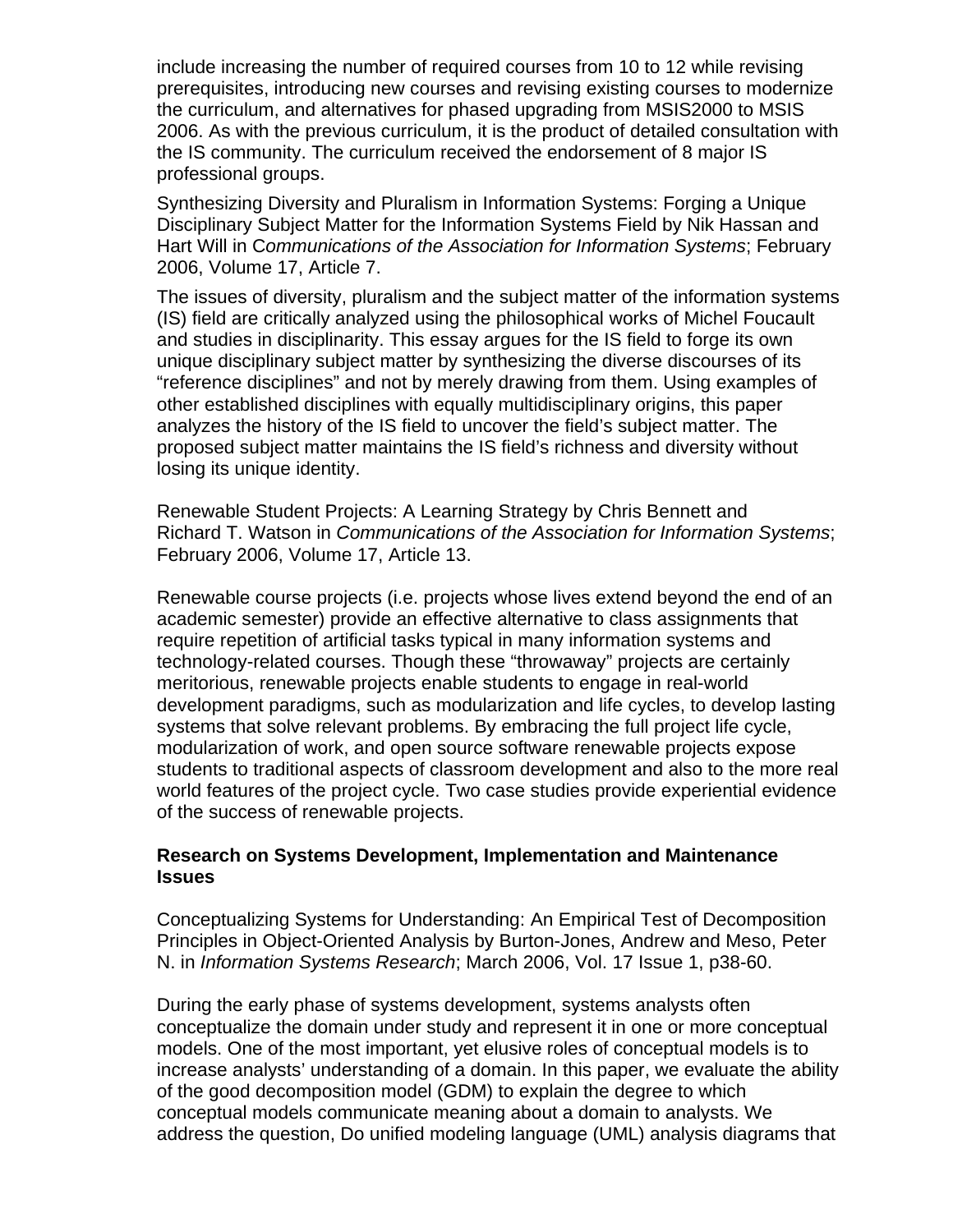include increasing the number of required courses from 10 to 12 while revising prerequisites, introducing new courses and revising existing courses to modernize the curriculum, and alternatives for phased upgrading from MSIS2000 to MSIS 2006. As with the previous curriculum, it is the product of detailed consultation with the IS community. The curriculum received the endorsement of 8 major IS professional groups.

Synthesizing Diversity and Pluralism in Information Systems: Forging a Unique Disciplinary Subject Matter for the Information Systems Field by Nik Hassan and Hart Will in C*ommunications of the Association for Information Systems*; February 2006, Volume 17, Article 7.

The issues of diversity, pluralism and the subject matter of the information systems (IS) field are critically analyzed using the philosophical works of Michel Foucault and studies in disciplinarity. This essay argues for the IS field to forge its own unique disciplinary subject matter by synthesizing the diverse discourses of its "reference disciplines" and not by merely drawing from them. Using examples of other established disciplines with equally multidisciplinary origins, this paper analyzes the history of the IS field to uncover the field's subject matter. The proposed subject matter maintains the IS field's richness and diversity without losing its unique identity.

Renewable Student Projects: A Learning Strategy by Chris Bennett and Richard T. Watson in *Communications of the Association for Information Systems*; February 2006, Volume 17, Article 13.

Renewable course projects (i.e. projects whose lives extend beyond the end of an academic semester) provide an effective alternative to class assignments that require repetition of artificial tasks typical in many information systems and technology-related courses. Though these "throwaway" projects are certainly meritorious, renewable projects enable students to engage in real-world development paradigms, such as modularization and life cycles, to develop lasting systems that solve relevant problems. By embracing the full project life cycle, modularization of work, and open source software renewable projects expose students to traditional aspects of classroom development and also to the more real world features of the project cycle. Two case studies provide experiential evidence of the success of renewable projects.

#### **Research on Systems Development, Implementation and Maintenance Issues**

Conceptualizing Systems for Understanding: An Empirical Test of Decomposition Principles in Object-Oriented Analysis by Burton-Jones, Andrew and Meso, Peter N. in *Information Systems Research*; March 2006, Vol. 17 Issue 1, p38-60.

During the early phase of systems development, systems analysts often conceptualize the domain under study and represent it in one or more conceptual models. One of the most important, yet elusive roles of conceptual models is to increase analysts' understanding of a domain. In this paper, we evaluate the ability of the good decomposition model (GDM) to explain the degree to which conceptual models communicate meaning about a domain to analysts. We address the question, Do unified modeling language (UML) analysis diagrams that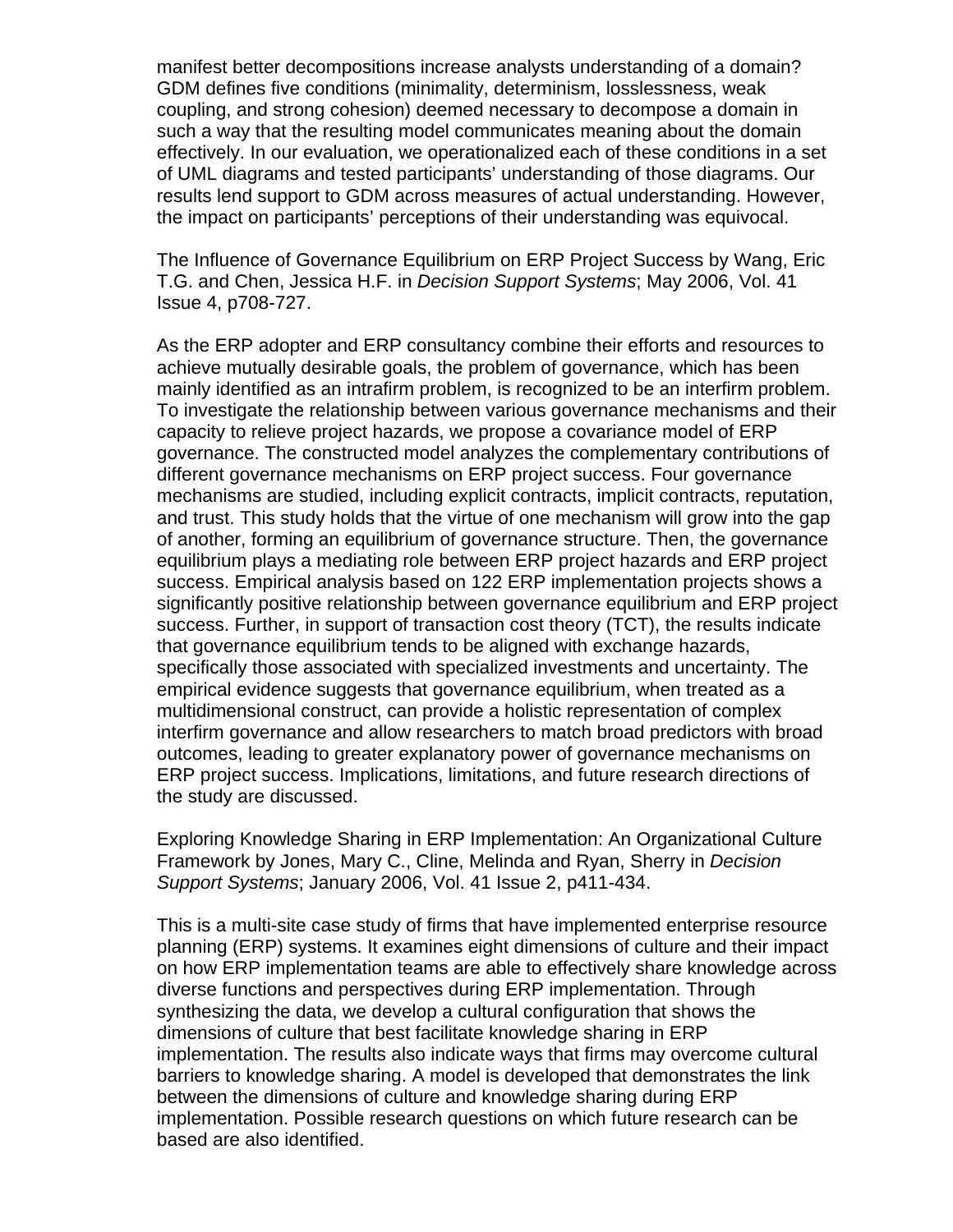manifest better decompositions increase analysts understanding of a domain? GDM defines five conditions (minimality, determinism, losslessness, weak coupling, and strong cohesion) deemed necessary to decompose a domain in such a way that the resulting model communicates meaning about the domain effectively. In our evaluation, we operationalized each of these conditions in a set of UML diagrams and tested participants' understanding of those diagrams. Our results lend support to GDM across measures of actual understanding. However, the impact on participants' perceptions of their understanding was equivocal.

The Influence of Governance Equilibrium on ERP Project Success by Wang, Eric T.G. and Chen, Jessica H.F. in *Decision Support Systems*; May 2006, Vol. 41 Issue 4, p708-727.

As the ERP adopter and ERP consultancy combine their efforts and resources to achieve mutually desirable goals, the problem of governance, which has been mainly identified as an intrafirm problem, is recognized to be an interfirm problem. To investigate the relationship between various governance mechanisms and their capacity to relieve project hazards, we propose a covariance model of ERP governance. The constructed model analyzes the complementary contributions of different governance mechanisms on ERP project success. Four governance mechanisms are studied, including explicit contracts, implicit contracts, reputation, and trust. This study holds that the virtue of one mechanism will grow into the gap of another, forming an equilibrium of governance structure. Then, the governance equilibrium plays a mediating role between ERP project hazards and ERP project success. Empirical analysis based on 122 ERP implementation projects shows a significantly positive relationship between governance equilibrium and ERP project success. Further, in support of transaction cost theory (TCT), the results indicate that governance equilibrium tends to be aligned with exchange hazards, specifically those associated with specialized investments and uncertainty. The empirical evidence suggests that governance equilibrium, when treated as a multidimensional construct, can provide a holistic representation of complex interfirm governance and allow researchers to match broad predictors with broad outcomes, leading to greater explanatory power of governance mechanisms on ERP project success. Implications, limitations, and future research directions of the study are discussed.

Exploring Knowledge Sharing in ERP Implementation: An Organizational Culture Framework by Jones, Mary C., Cline, Melinda and Ryan, Sherry in *Decision Support Systems*; January 2006, Vol. 41 Issue 2, p411-434.

This is a multi-site case study of firms that have implemented enterprise resource planning (ERP) systems. It examines eight dimensions of culture and their impact on how ERP implementation teams are able to effectively share knowledge across diverse functions and perspectives during ERP implementation. Through synthesizing the data, we develop a cultural configuration that shows the dimensions of culture that best facilitate knowledge sharing in ERP implementation. The results also indicate ways that firms may overcome cultural barriers to knowledge sharing. A model is developed that demonstrates the link between the dimensions of culture and knowledge sharing during ERP implementation. Possible research questions on which future research can be based are also identified.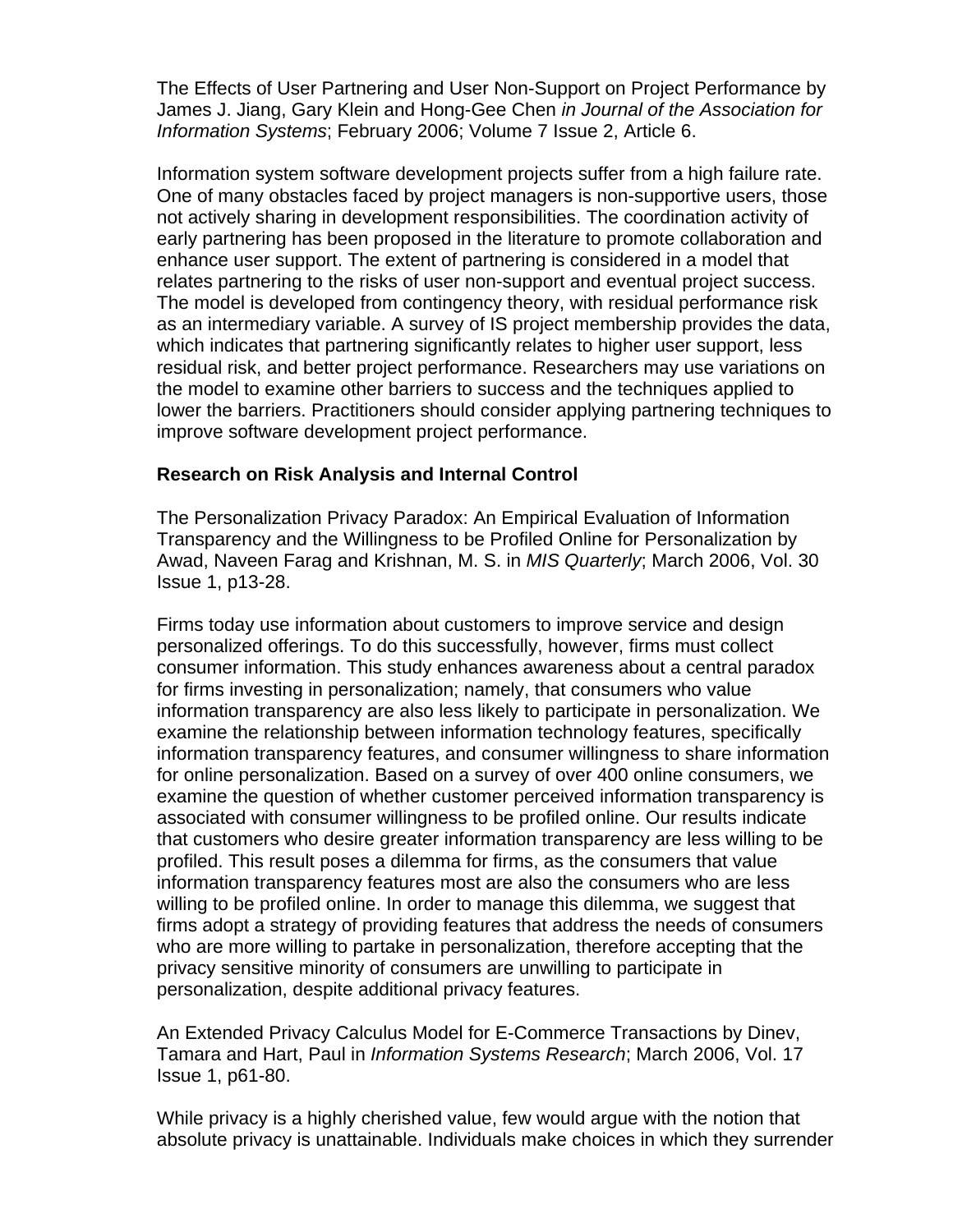The Effects of User Partnering and User Non-Support on Project Performance by James J. Jiang, Gary Klein and Hong-Gee Chen *in Journal of the Association for Information Systems*; February 2006; Volume 7 Issue 2, Article 6.

Information system software development projects suffer from a high failure rate. One of many obstacles faced by project managers is non-supportive users, those not actively sharing in development responsibilities. The coordination activity of early partnering has been proposed in the literature to promote collaboration and enhance user support. The extent of partnering is considered in a model that relates partnering to the risks of user non-support and eventual project success. The model is developed from contingency theory, with residual performance risk as an intermediary variable. A survey of IS project membership provides the data, which indicates that partnering significantly relates to higher user support, less residual risk, and better project performance. Researchers may use variations on the model to examine other barriers to success and the techniques applied to lower the barriers. Practitioners should consider applying partnering techniques to improve software development project performance.

# **Research on Risk Analysis and Internal Control**

The Personalization Privacy Paradox: An Empirical Evaluation of Information Transparency and the Willingness to be Profiled Online for Personalization by Awad, Naveen Farag and Krishnan, M. S. in *MIS Quarterly*; March 2006, Vol. 30 Issue 1, p13-28.

Firms today use information about customers to improve service and design personalized offerings. To do this successfully, however, firms must collect consumer information. This study enhances awareness about a central paradox for firms investing in personalization; namely, that consumers who value information transparency are also less likely to participate in personalization. We examine the relationship between information technology features, specifically information transparency features, and consumer willingness to share information for online personalization. Based on a survey of over 400 online consumers, we examine the question of whether customer perceived information transparency is associated with consumer willingness to be profiled online. Our results indicate that customers who desire greater information transparency are less willing to be profiled. This result poses a dilemma for firms, as the consumers that value information transparency features most are also the consumers who are less willing to be profiled online. In order to manage this dilemma, we suggest that firms adopt a strategy of providing features that address the needs of consumers who are more willing to partake in personalization, therefore accepting that the privacy sensitive minority of consumers are unwilling to participate in personalization, despite additional privacy features.

An Extended Privacy Calculus Model for E-Commerce Transactions by Dinev, Tamara and Hart, Paul in *Information Systems Research*; March 2006, Vol. 17 Issue 1, p61-80.

While privacy is a highly cherished value, few would argue with the notion that absolute privacy is unattainable. Individuals make choices in which they surrender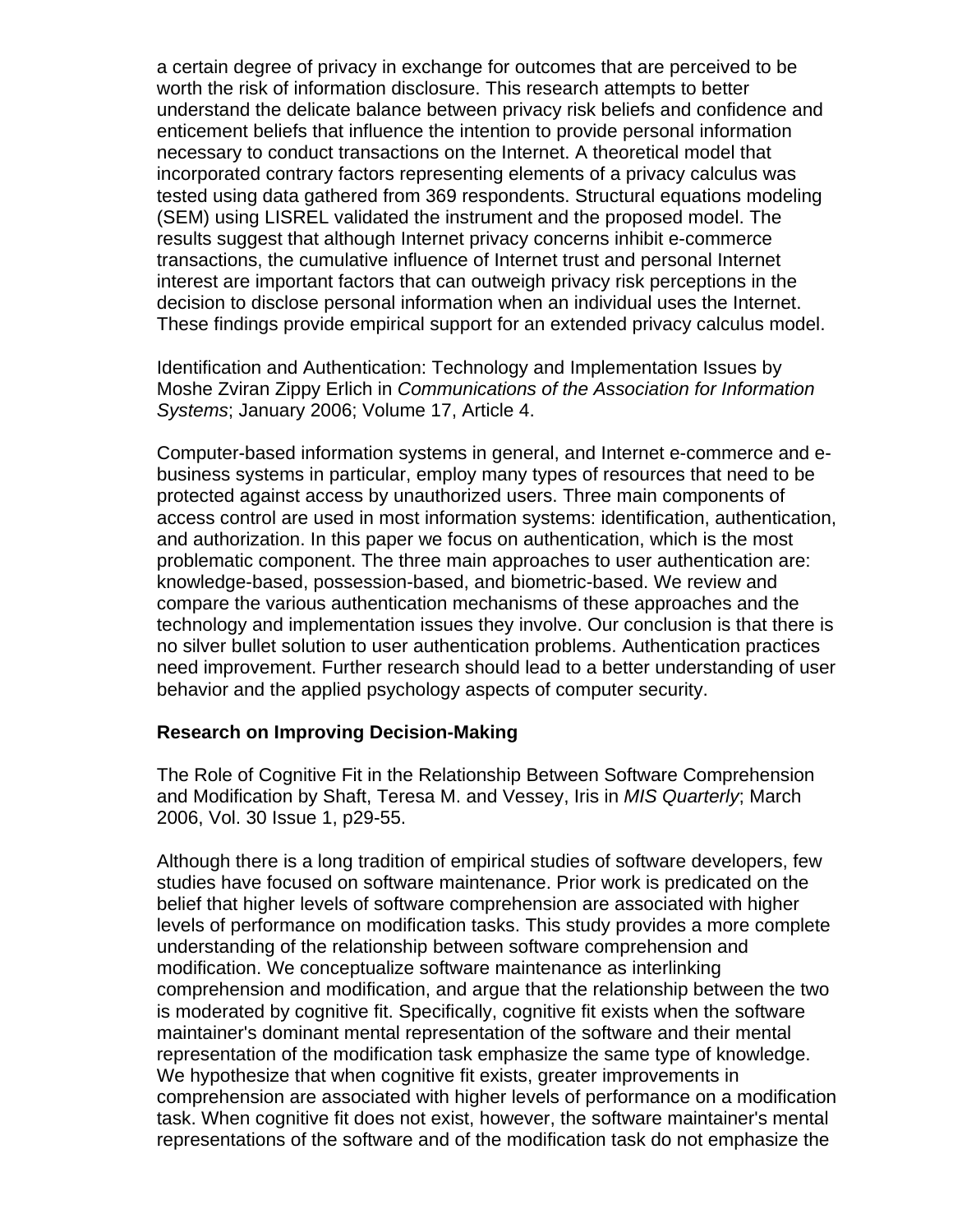a certain degree of privacy in exchange for outcomes that are perceived to be worth the risk of information disclosure. This research attempts to better understand the delicate balance between privacy risk beliefs and confidence and enticement beliefs that influence the intention to provide personal information necessary to conduct transactions on the Internet. A theoretical model that incorporated contrary factors representing elements of a privacy calculus was tested using data gathered from 369 respondents. Structural equations modeling (SEM) using LISREL validated the instrument and the proposed model. The results suggest that although Internet privacy concerns inhibit e-commerce transactions, the cumulative influence of Internet trust and personal Internet interest are important factors that can outweigh privacy risk perceptions in the decision to disclose personal information when an individual uses the Internet. These findings provide empirical support for an extended privacy calculus model.

Identification and Authentication: Technology and Implementation Issues by Moshe Zviran Zippy Erlich in *Communications of the Association for Information Systems*; January 2006; Volume 17, Article 4.

Computer-based information systems in general, and Internet e-commerce and ebusiness systems in particular, employ many types of resources that need to be protected against access by unauthorized users. Three main components of access control are used in most information systems: identification, authentication, and authorization. In this paper we focus on authentication, which is the most problematic component. The three main approaches to user authentication are: knowledge-based, possession-based, and biometric-based. We review and compare the various authentication mechanisms of these approaches and the technology and implementation issues they involve. Our conclusion is that there is no silver bullet solution to user authentication problems. Authentication practices need improvement. Further research should lead to a better understanding of user behavior and the applied psychology aspects of computer security.

#### **Research on Improving Decision-Making**

The Role of Cognitive Fit in the Relationship Between Software Comprehension and Modification by Shaft, Teresa M. and Vessey, Iris in *MIS Quarterly*; March 2006, Vol. 30 Issue 1, p29-55.

Although there is a long tradition of empirical studies of software developers, few studies have focused on software maintenance. Prior work is predicated on the belief that higher levels of software comprehension are associated with higher levels of performance on modification tasks. This study provides a more complete understanding of the relationship between software comprehension and modification. We conceptualize software maintenance as interlinking comprehension and modification, and argue that the relationship between the two is moderated by cognitive fit. Specifically, cognitive fit exists when the software maintainer's dominant mental representation of the software and their mental representation of the modification task emphasize the same type of knowledge. We hypothesize that when cognitive fit exists, greater improvements in comprehension are associated with higher levels of performance on a modification task. When cognitive fit does not exist, however, the software maintainer's mental representations of the software and of the modification task do not emphasize the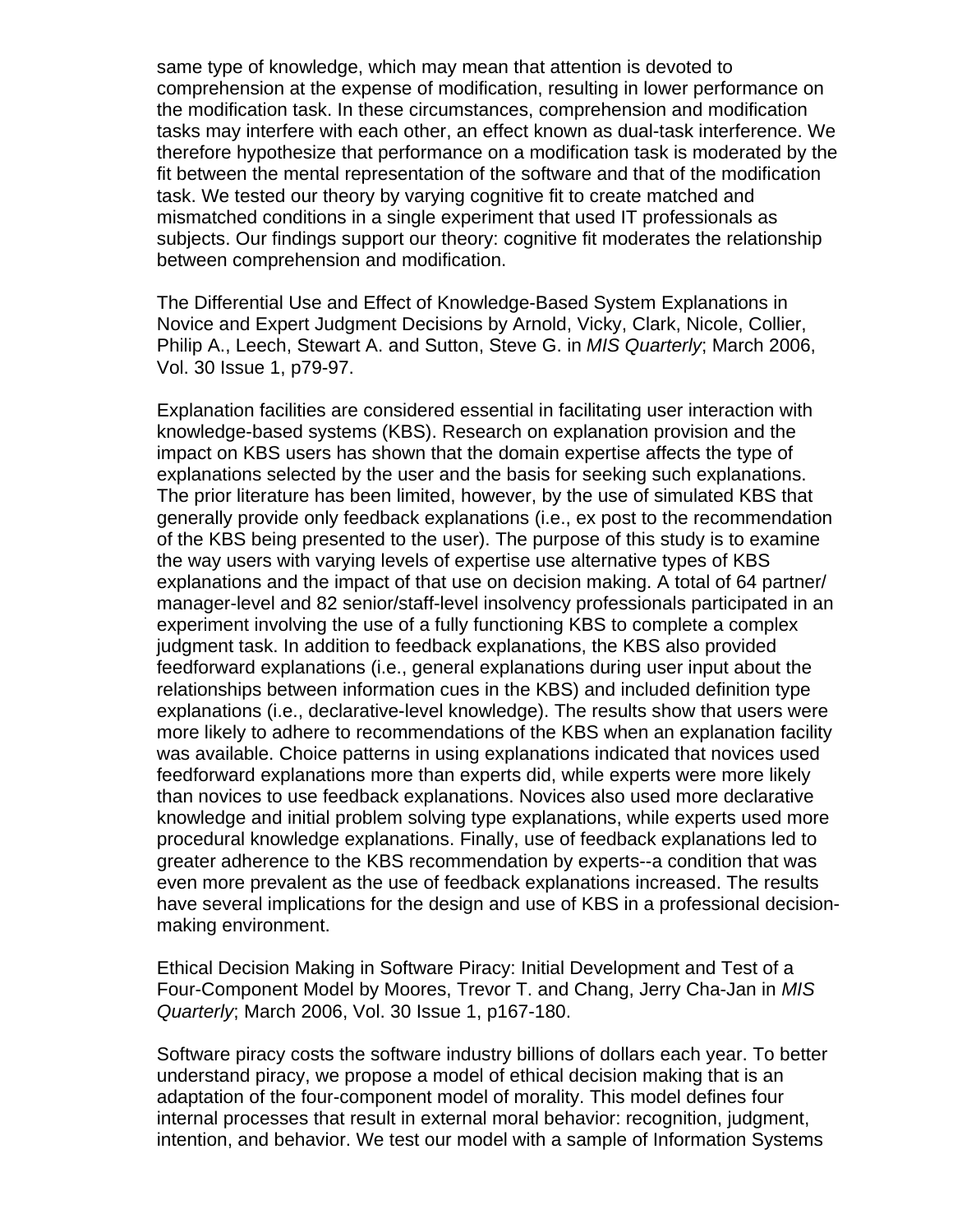same type of knowledge, which may mean that attention is devoted to comprehension at the expense of modification, resulting in lower performance on the modification task. In these circumstances, comprehension and modification tasks may interfere with each other, an effect known as dual-task interference. We therefore hypothesize that performance on a modification task is moderated by the fit between the mental representation of the software and that of the modification task. We tested our theory by varying cognitive fit to create matched and mismatched conditions in a single experiment that used IT professionals as subjects. Our findings support our theory: cognitive fit moderates the relationship between comprehension and modification.

The Differential Use and Effect of Knowledge-Based System Explanations in Novice and Expert Judgment Decisions by Arnold, Vicky, Clark, Nicole, Collier, Philip A., Leech, Stewart A. and Sutton, Steve G. in *MIS Quarterly*; March 2006, Vol. 30 Issue 1, p79-97.

Explanation facilities are considered essential in facilitating user interaction with knowledge-based systems (KBS). Research on explanation provision and the impact on KBS users has shown that the domain expertise affects the type of explanations selected by the user and the basis for seeking such explanations. The prior literature has been limited, however, by the use of simulated KBS that generally provide only feedback explanations (i.e., ex post to the recommendation of the KBS being presented to the user). The purpose of this study is to examine the way users with varying levels of expertise use alternative types of KBS explanations and the impact of that use on decision making. A total of 64 partner/ manager-level and 82 senior/staff-level insolvency professionals participated in an experiment involving the use of a fully functioning KBS to complete a complex judgment task. In addition to feedback explanations, the KBS also provided feedforward explanations (i.e., general explanations during user input about the relationships between information cues in the KBS) and included definition type explanations (i.e., declarative-level knowledge). The results show that users were more likely to adhere to recommendations of the KBS when an explanation facility was available. Choice patterns in using explanations indicated that novices used feedforward explanations more than experts did, while experts were more likely than novices to use feedback explanations. Novices also used more declarative knowledge and initial problem solving type explanations, while experts used more procedural knowledge explanations. Finally, use of feedback explanations led to greater adherence to the KBS recommendation by experts--a condition that was even more prevalent as the use of feedback explanations increased. The results have several implications for the design and use of KBS in a professional decisionmaking environment.

Ethical Decision Making in Software Piracy: Initial Development and Test of a Four-Component Model by Moores, Trevor T. and Chang, Jerry Cha-Jan in *MIS Quarterly*; March 2006, Vol. 30 Issue 1, p167-180.

Software piracy costs the software industry billions of dollars each year. To better understand piracy, we propose a model of ethical decision making that is an adaptation of the four-component model of morality. This model defines four internal processes that result in external moral behavior: recognition, judgment, intention, and behavior. We test our model with a sample of Information Systems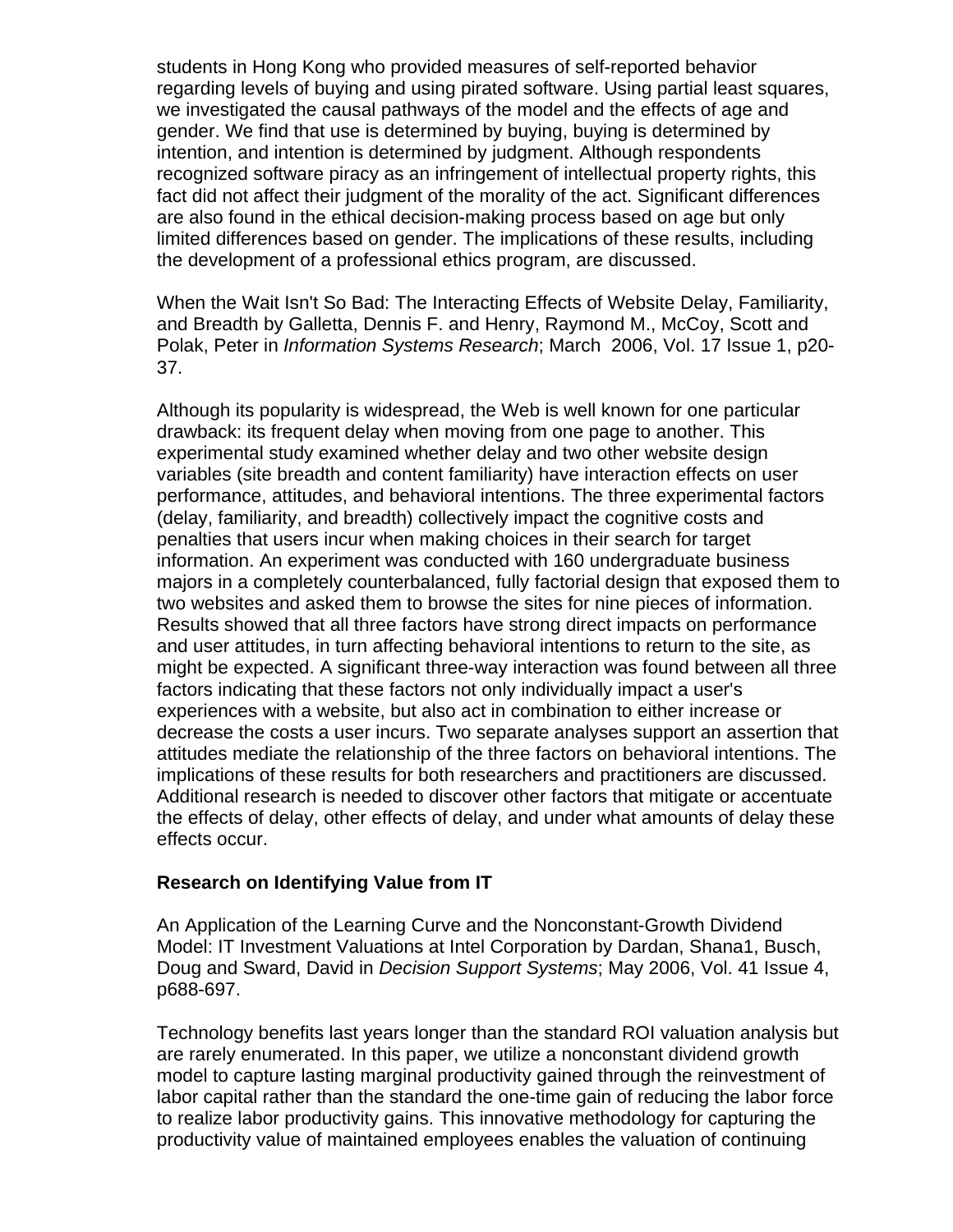students in Hong Kong who provided measures of self-reported behavior regarding levels of buying and using pirated software. Using partial least squares, we investigated the causal pathways of the model and the effects of age and gender. We find that use is determined by buying, buying is determined by intention, and intention is determined by judgment. Although respondents recognized software piracy as an infringement of intellectual property rights, this fact did not affect their judgment of the morality of the act. Significant differences are also found in the ethical decision-making process based on age but only limited differences based on gender. The implications of these results, including the development of a professional ethics program, are discussed.

When the Wait Isn't So Bad: The Interacting Effects of Website Delay, Familiarity, and Breadth by Galletta, Dennis F. and Henry, Raymond M., McCoy, Scott and Polak, Peter in *Information Systems Research*; March 2006, Vol. 17 Issue 1, p20- 37.

Although its popularity is widespread, the Web is well known for one particular drawback: its frequent delay when moving from one page to another. This experimental study examined whether delay and two other website design variables (site breadth and content familiarity) have interaction effects on user performance, attitudes, and behavioral intentions. The three experimental factors (delay, familiarity, and breadth) collectively impact the cognitive costs and penalties that users incur when making choices in their search for target information. An experiment was conducted with 160 undergraduate business majors in a completely counterbalanced, fully factorial design that exposed them to two websites and asked them to browse the sites for nine pieces of information. Results showed that all three factors have strong direct impacts on performance and user attitudes, in turn affecting behavioral intentions to return to the site, as might be expected. A significant three-way interaction was found between all three factors indicating that these factors not only individually impact a user's experiences with a website, but also act in combination to either increase or decrease the costs a user incurs. Two separate analyses support an assertion that attitudes mediate the relationship of the three factors on behavioral intentions. The implications of these results for both researchers and practitioners are discussed. Additional research is needed to discover other factors that mitigate or accentuate the effects of delay, other effects of delay, and under what amounts of delay these effects occur.

#### **Research on Identifying Value from IT**

An Application of the Learning Curve and the Nonconstant-Growth Dividend Model: IT Investment Valuations at Intel Corporation by Dardan, Shana1, Busch, Doug and Sward, David in *Decision Support Systems*; May 2006, Vol. 41 Issue 4, p688-697.

Technology benefits last years longer than the standard ROI valuation analysis but are rarely enumerated. In this paper, we utilize a nonconstant dividend growth model to capture lasting marginal productivity gained through the reinvestment of labor capital rather than the standard the one-time gain of reducing the labor force to realize labor productivity gains. This innovative methodology for capturing the productivity value of maintained employees enables the valuation of continuing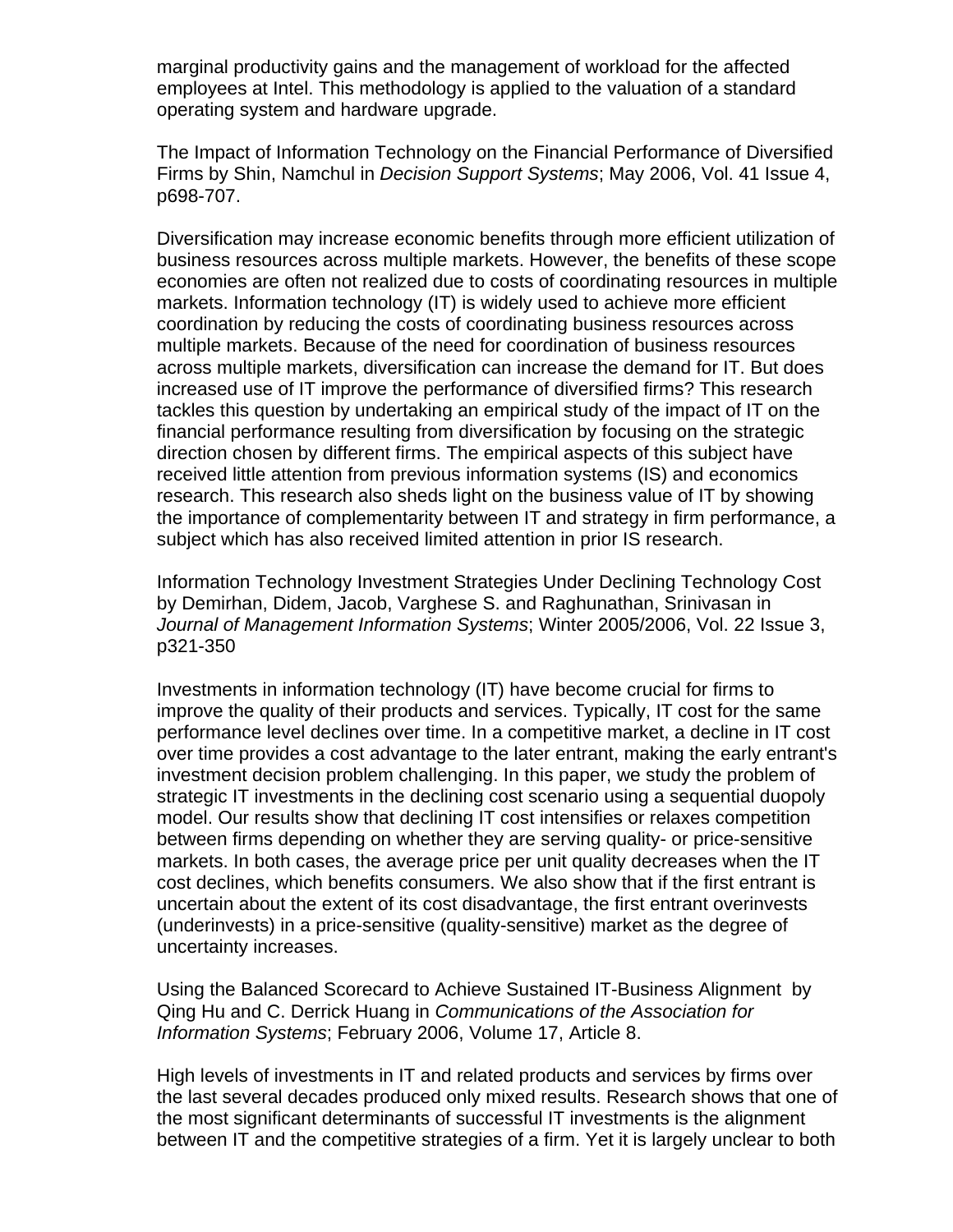marginal productivity gains and the management of workload for the affected employees at Intel. This methodology is applied to the valuation of a standard operating system and hardware upgrade.

The Impact of Information Technology on the Financial Performance of Diversified Firms by Shin, Namchul in *Decision Support Systems*; May 2006, Vol. 41 Issue 4, p698-707.

Diversification may increase economic benefits through more efficient utilization of business resources across multiple markets. However, the benefits of these scope economies are often not realized due to costs of coordinating resources in multiple markets. Information technology (IT) is widely used to achieve more efficient coordination by reducing the costs of coordinating business resources across multiple markets. Because of the need for coordination of business resources across multiple markets, diversification can increase the demand for IT. But does increased use of IT improve the performance of diversified firms? This research tackles this question by undertaking an empirical study of the impact of IT on the financial performance resulting from diversification by focusing on the strategic direction chosen by different firms. The empirical aspects of this subject have received little attention from previous information systems (IS) and economics research. This research also sheds light on the business value of IT by showing the importance of complementarity between IT and strategy in firm performance, a subject which has also received limited attention in prior IS research.

Information Technology Investment Strategies Under Declining Technology Cost by Demirhan, Didem, Jacob, Varghese S. and Raghunathan, Srinivasan in *Journal of Management Information Systems*; Winter 2005/2006, Vol. 22 Issue 3, p321-350

Investments in information technology (IT) have become crucial for firms to improve the quality of their products and services. Typically, IT cost for the same performance level declines over time. In a competitive market, a decline in IT cost over time provides a cost advantage to the later entrant, making the early entrant's investment decision problem challenging. In this paper, we study the problem of strategic IT investments in the declining cost scenario using a sequential duopoly model. Our results show that declining IT cost intensifies or relaxes competition between firms depending on whether they are serving quality- or price-sensitive markets. In both cases, the average price per unit quality decreases when the IT cost declines, which benefits consumers. We also show that if the first entrant is uncertain about the extent of its cost disadvantage, the first entrant overinvests (underinvests) in a price-sensitive (quality-sensitive) market as the degree of uncertainty increases.

Using the Balanced Scorecard to Achieve Sustained IT-Business Alignment by Qing Hu and C. Derrick Huang in *Communications of the Association for Information Systems*; February 2006, Volume 17, Article 8.

High levels of investments in IT and related products and services by firms over the last several decades produced only mixed results. Research shows that one of the most significant determinants of successful IT investments is the alignment between IT and the competitive strategies of a firm. Yet it is largely unclear to both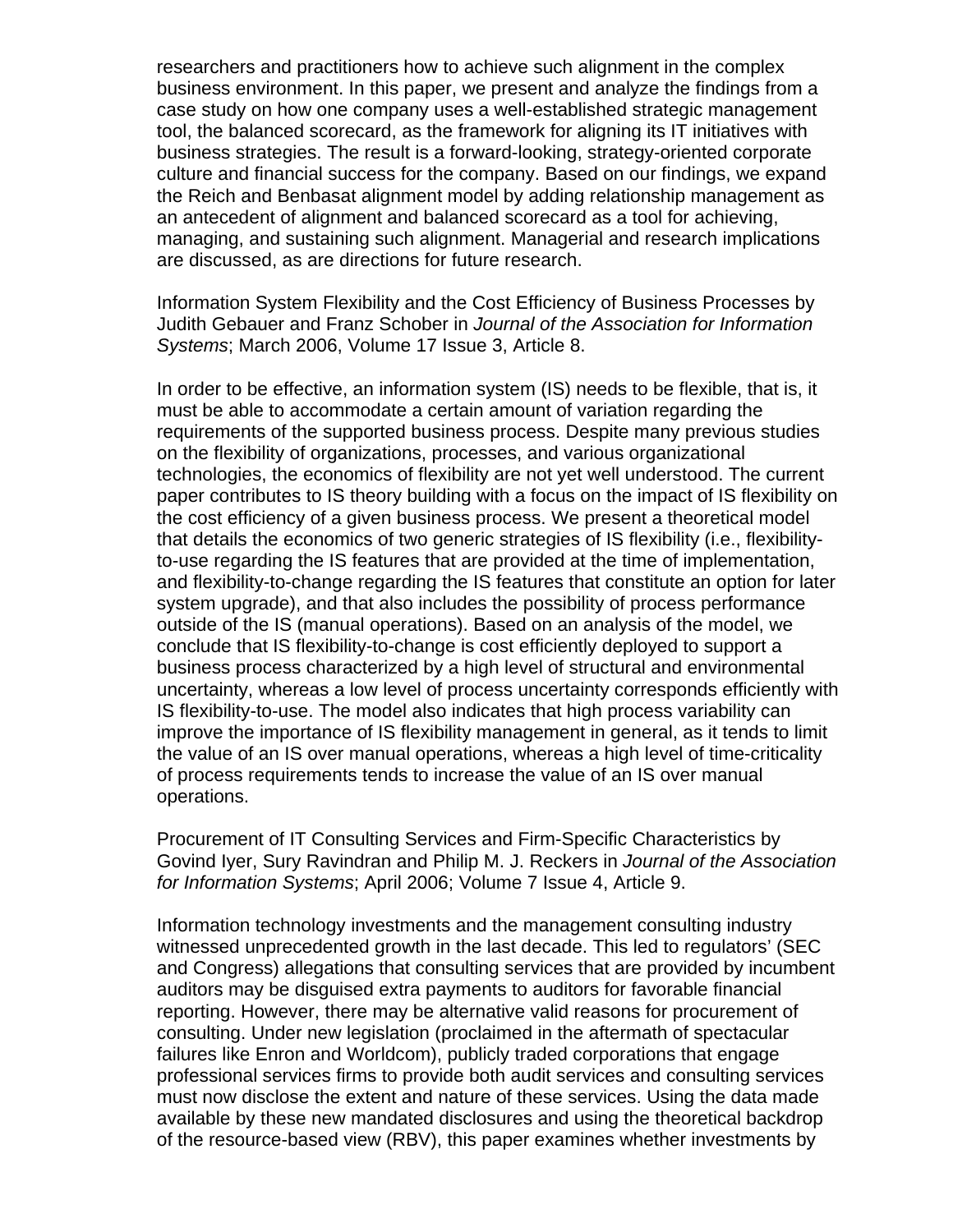researchers and practitioners how to achieve such alignment in the complex business environment. In this paper, we present and analyze the findings from a case study on how one company uses a well-established strategic management tool, the balanced scorecard, as the framework for aligning its IT initiatives with business strategies. The result is a forward-looking, strategy-oriented corporate culture and financial success for the company. Based on our findings, we expand the Reich and Benbasat alignment model by adding relationship management as an antecedent of alignment and balanced scorecard as a tool for achieving, managing, and sustaining such alignment. Managerial and research implications are discussed, as are directions for future research.

Information System Flexibility and the Cost Efficiency of Business Processes by Judith Gebauer and Franz Schober in *Journal of the Association for Information Systems*; March 2006, Volume 17 Issue 3, Article 8.

In order to be effective, an information system (IS) needs to be flexible, that is, it must be able to accommodate a certain amount of variation regarding the requirements of the supported business process. Despite many previous studies on the flexibility of organizations, processes, and various organizational technologies, the economics of flexibility are not yet well understood. The current paper contributes to IS theory building with a focus on the impact of IS flexibility on the cost efficiency of a given business process. We present a theoretical model that details the economics of two generic strategies of IS flexibility (i.e., flexibilityto-use regarding the IS features that are provided at the time of implementation, and flexibility-to-change regarding the IS features that constitute an option for later system upgrade), and that also includes the possibility of process performance outside of the IS (manual operations). Based on an analysis of the model, we conclude that IS flexibility-to-change is cost efficiently deployed to support a business process characterized by a high level of structural and environmental uncertainty, whereas a low level of process uncertainty corresponds efficiently with IS flexibility-to-use. The model also indicates that high process variability can improve the importance of IS flexibility management in general, as it tends to limit the value of an IS over manual operations, whereas a high level of time-criticality of process requirements tends to increase the value of an IS over manual operations.

Procurement of IT Consulting Services and Firm-Specific Characteristics by Govind Iyer, Sury Ravindran and Philip M. J. Reckers in *Journal of the Association for Information Systems*; April 2006; Volume 7 Issue 4, Article 9.

Information technology investments and the management consulting industry witnessed unprecedented growth in the last decade. This led to regulators' (SEC and Congress) allegations that consulting services that are provided by incumbent auditors may be disguised extra payments to auditors for favorable financial reporting. However, there may be alternative valid reasons for procurement of consulting. Under new legislation (proclaimed in the aftermath of spectacular failures like Enron and Worldcom), publicly traded corporations that engage professional services firms to provide both audit services and consulting services must now disclose the extent and nature of these services. Using the data made available by these new mandated disclosures and using the theoretical backdrop of the resource-based view (RBV), this paper examines whether investments by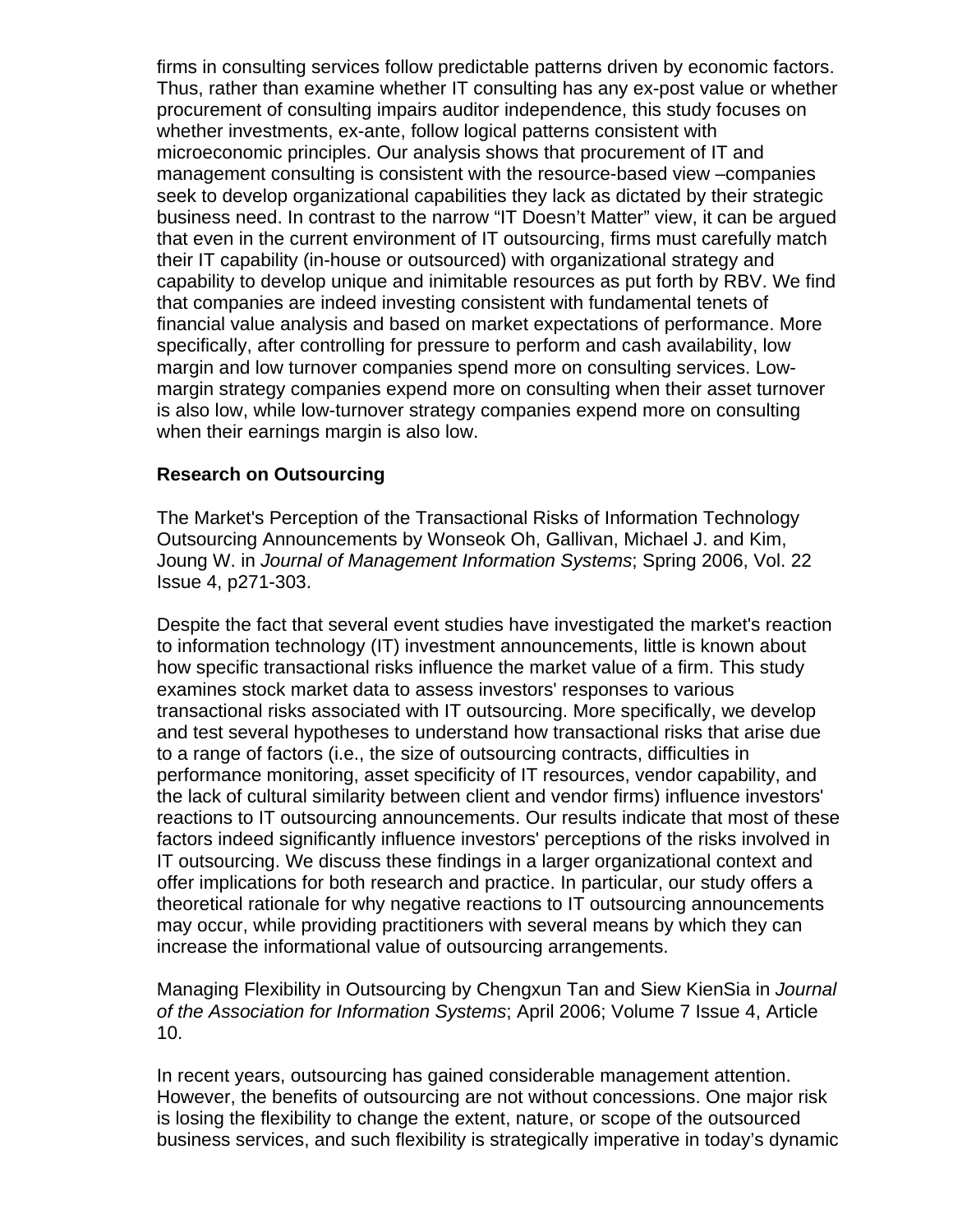firms in consulting services follow predictable patterns driven by economic factors. Thus, rather than examine whether IT consulting has any ex-post value or whether procurement of consulting impairs auditor independence, this study focuses on whether investments, ex-ante, follow logical patterns consistent with microeconomic principles. Our analysis shows that procurement of IT and management consulting is consistent with the resource-based view –companies seek to develop organizational capabilities they lack as dictated by their strategic business need. In contrast to the narrow "IT Doesn't Matter" view, it can be argued that even in the current environment of IT outsourcing, firms must carefully match their IT capability (in-house or outsourced) with organizational strategy and capability to develop unique and inimitable resources as put forth by RBV. We find that companies are indeed investing consistent with fundamental tenets of financial value analysis and based on market expectations of performance. More specifically, after controlling for pressure to perform and cash availability, low margin and low turnover companies spend more on consulting services. Lowmargin strategy companies expend more on consulting when their asset turnover is also low, while low-turnover strategy companies expend more on consulting when their earnings margin is also low.

# **Research on Outsourcing**

The Market's Perception of the Transactional Risks of Information Technology Outsourcing Announcements by Wonseok Oh, Gallivan, Michael J. and Kim, Joung W. in *Journal of Management Information Systems*; Spring 2006, Vol. 22 Issue 4, p271-303.

Despite the fact that several event studies have investigated the market's reaction to information technology (IT) investment announcements, little is known about how specific transactional risks influence the market value of a firm. This study examines stock market data to assess investors' responses to various transactional risks associated with IT outsourcing. More specifically, we develop and test several hypotheses to understand how transactional risks that arise due to a range of factors (i.e., the size of outsourcing contracts, difficulties in performance monitoring, asset specificity of IT resources, vendor capability, and the lack of cultural similarity between client and vendor firms) influence investors' reactions to IT outsourcing announcements. Our results indicate that most of these factors indeed significantly influence investors' perceptions of the risks involved in IT outsourcing. We discuss these findings in a larger organizational context and offer implications for both research and practice. In particular, our study offers a theoretical rationale for why negative reactions to IT outsourcing announcements may occur, while providing practitioners with several means by which they can increase the informational value of outsourcing arrangements.

Managing Flexibility in Outsourcing by Chengxun Tan and Siew KienSia in *Journal of the Association for Information Systems*; April 2006; Volume 7 Issue 4, Article 10.

In recent years, outsourcing has gained considerable management attention. However, the benefits of outsourcing are not without concessions. One major risk is losing the flexibility to change the extent, nature, or scope of the outsourced business services, and such flexibility is strategically imperative in today's dynamic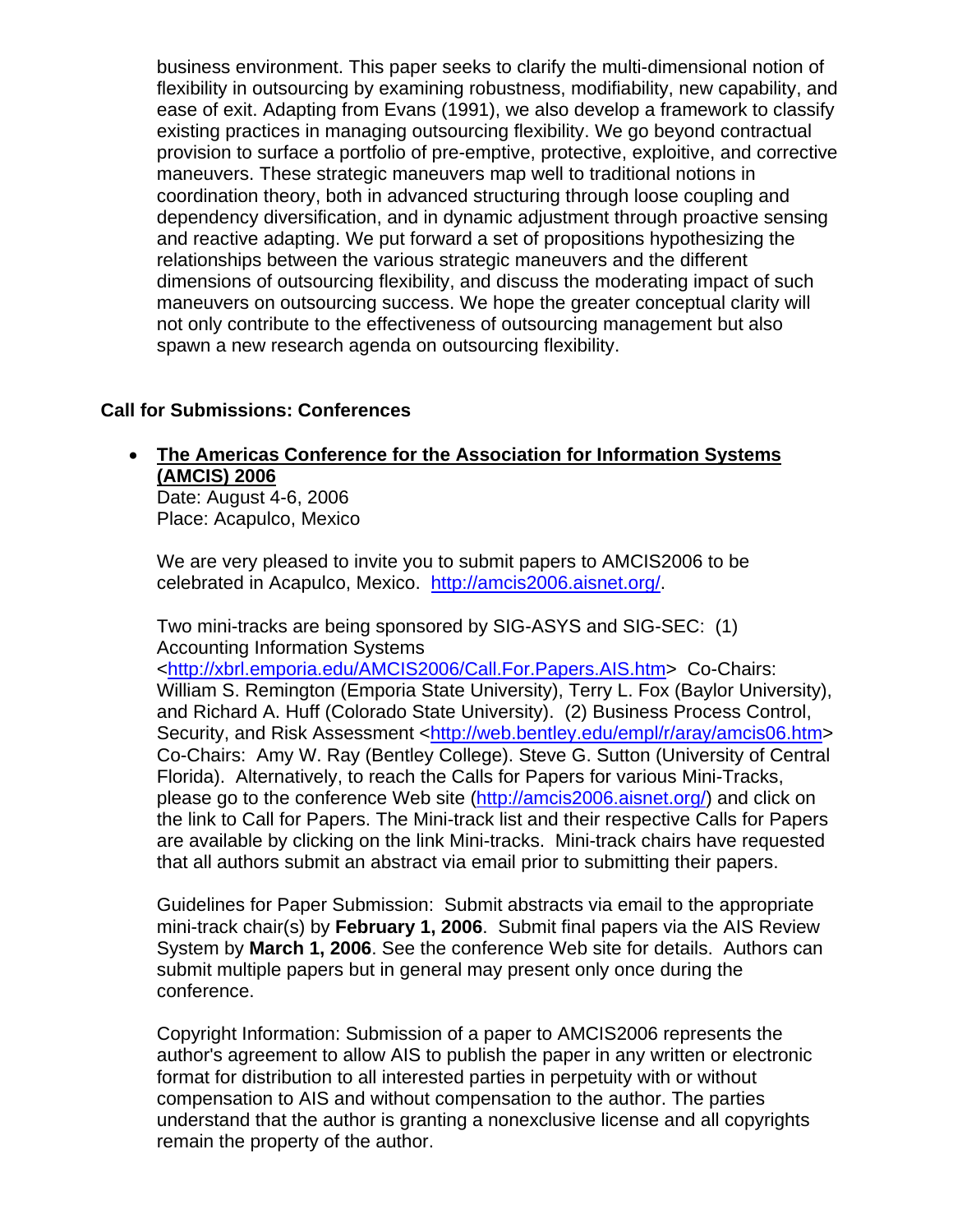<span id="page-23-0"></span>business environment. This paper seeks to clarify the multi-dimensional notion of flexibility in outsourcing by examining robustness, modifiability, new capability, and ease of exit. Adapting from Evans (1991), we also develop a framework to classify existing practices in managing outsourcing flexibility. We go beyond contractual provision to surface a portfolio of pre-emptive, protective, exploitive, and corrective maneuvers. These strategic maneuvers map well to traditional notions in coordination theory, both in advanced structuring through loose coupling and dependency diversification, and in dynamic adjustment through proactive sensing and reactive adapting. We put forward a set of propositions hypothesizing the relationships between the various strategic maneuvers and the different dimensions of outsourcing flexibility, and discuss the moderating impact of such maneuvers on outsourcing success. We hope the greater conceptual clarity will not only contribute to the effectiveness of outsourcing management but also spawn a new research agenda on outsourcing flexibility.

# **Call for Submissions: Conferences**

# • **The Americas Conference for the Association for Information Systems (AMCIS) 2006**

Date: August 4-6, 2006 Place: Acapulco, Mexico

We are very pleased to invite you to submit papers to AMCIS2006 to be celebrated in Acapulco, Mexico. <http://amcis2006.aisnet.org/>.

Two mini-tracks are being sponsored by SIG-ASYS and SIG-SEC: (1) Accounting Information Systems

<[http://xbrl.emporia.edu/AMCIS2006/Call.For.Papers.AIS.htm>](http://xbrl.emporia.edu/AMCIS2006/Call.For.Papers.AIS.htm) Co-Chairs: William S. Remington (Emporia State University), Terry L. Fox (Baylor University), and Richard A. Huff (Colorado State University). (2) Business Process Control, Security, and Risk Assessment <[http://web.bentley.edu/empl/r/aray/amcis06.htm>](http://web.bentley.edu/empl/r/aray/amcis06.htm) Co-Chairs: Amy W. Ray (Bentley College). Steve G. Sutton (University of Central Florida). Alternatively, to reach the Calls for Papers for various Mini-Tracks, please go to the conference Web site [\(http://amcis2006.aisnet.org/\)](http://amcis2006.aisnet.org/) and click on the link to Call for Papers. The Mini-track list and their respective Calls for Papers are available by clicking on the link Mini-tracks. Mini-track chairs have requested that all authors submit an abstract via email prior to submitting their papers.

Guidelines for Paper Submission: Submit abstracts via email to the appropriate mini-track chair(s) by **February 1, 2006**. Submit final papers via the AIS Review System by **March 1, 2006**. See the conference Web site for details. Authors can submit multiple papers but in general may present only once during the conference.

Copyright Information: Submission of a paper to AMCIS2006 represents the author's agreement to allow AIS to publish the paper in any written or electronic format for distribution to all interested parties in perpetuity with or without compensation to AIS and without compensation to the author. The parties understand that the author is granting a nonexclusive license and all copyrights remain the property of the author.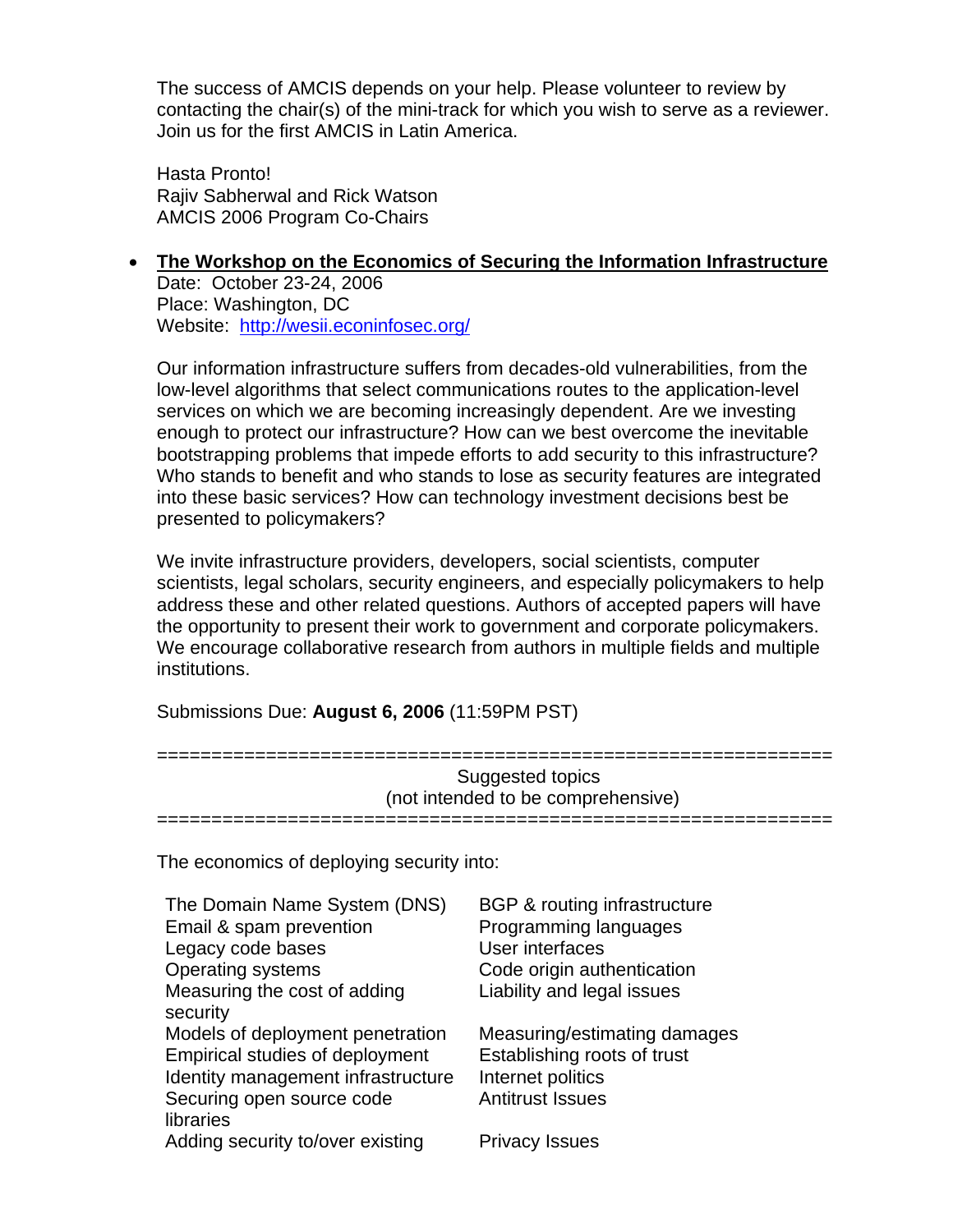The success of AMCIS depends on your help. Please volunteer to review by contacting the chair(s) of the mini-track for which you wish to serve as a reviewer. Join us for the first AMCIS in Latin America.

Hasta Pronto! Rajiv Sabherwal and Rick Watson AMCIS 2006 Program Co-Chairs

#### • **The Workshop on the Economics of Securing the Information Infrastructure**

Date: October 23-24, 2006 Place: Washington, DC Website: <http://wesii.econinfosec.org/>

Our information infrastructure suffers from decades-old vulnerabilities, from the low-level algorithms that select communications routes to the application-level services on which we are becoming increasingly dependent. Are we investing enough to protect our infrastructure? How can we best overcome the inevitable bootstrapping problems that impede efforts to add security to this infrastructure? Who stands to benefit and who stands to lose as security features are integrated into these basic services? How can technology investment decisions best be presented to policymakers?

We invite infrastructure providers, developers, social scientists, computer scientists, legal scholars, security engineers, and especially policymakers to help address these and other related questions. Authors of accepted papers will have the opportunity to present their work to government and corporate policymakers. We encourage collaborative research from authors in multiple fields and multiple institutions.

Submissions Due: **August 6, 2006** (11:59PM PST)

============================================================== Suggested topics (not intended to be comprehensive) ==============================================================

The economics of deploying security into:

| The Domain Name System (DNS)                                                                                                                               | BGP & routing infrastructure                                                                                |
|------------------------------------------------------------------------------------------------------------------------------------------------------------|-------------------------------------------------------------------------------------------------------------|
| Email & spam prevention                                                                                                                                    | Programming languages                                                                                       |
| Legacy code bases                                                                                                                                          | User interfaces                                                                                             |
| Operating systems                                                                                                                                          | Code origin authentication                                                                                  |
| Measuring the cost of adding<br>security                                                                                                                   | Liability and legal issues                                                                                  |
| Models of deployment penetration<br><b>Empirical studies of deployment</b><br>Identity management infrastructure<br>Securing open source code<br>libraries | Measuring/estimating damages<br>Establishing roots of trust<br>Internet politics<br><b>Antitrust Issues</b> |
| Adding security to/over existing                                                                                                                           | <b>Privacy Issues</b>                                                                                       |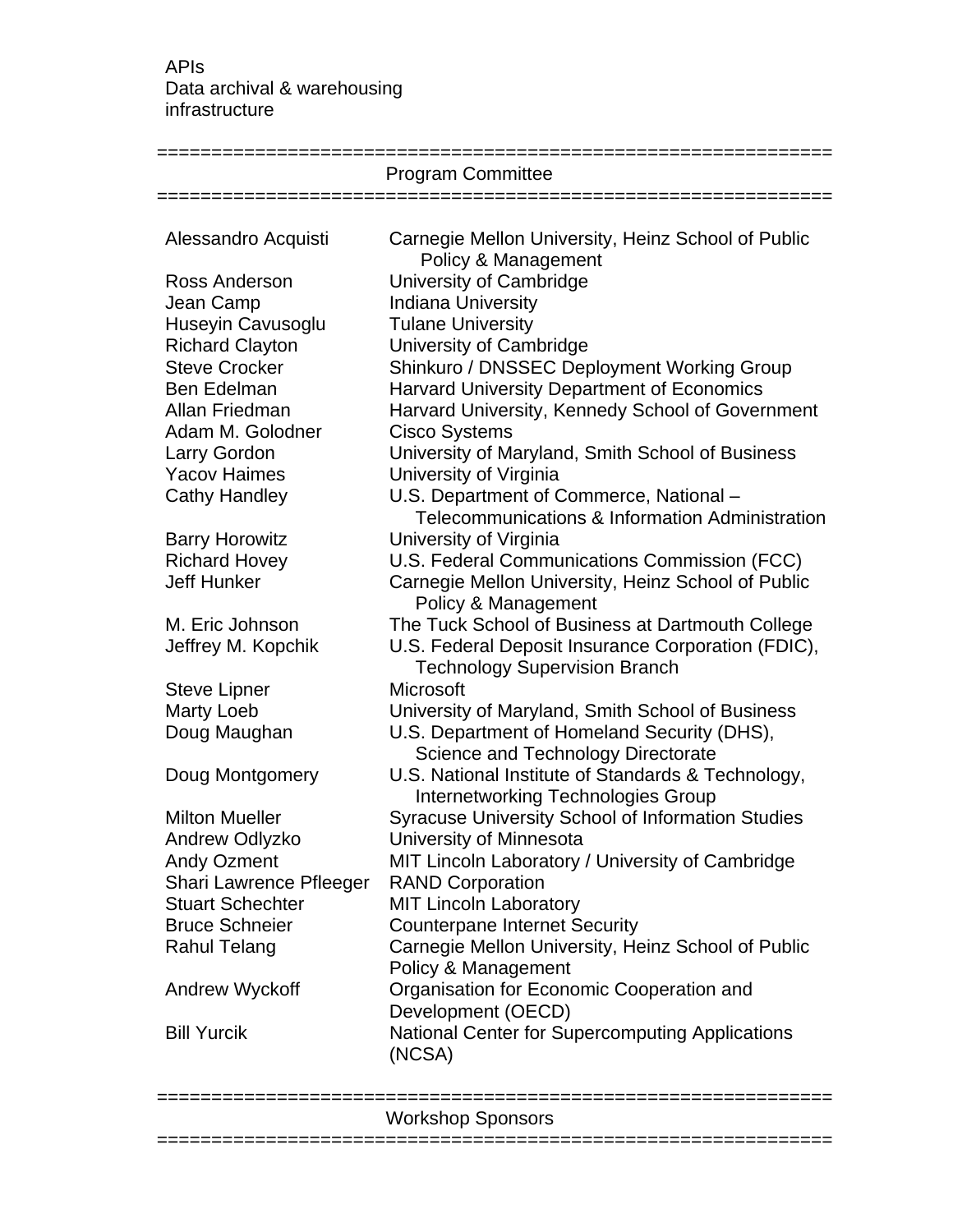| <b>Program Committee</b> |                                                          |  |  |
|--------------------------|----------------------------------------------------------|--|--|
|                          |                                                          |  |  |
|                          |                                                          |  |  |
| Alessandro Acquisti      | Carnegie Mellon University, Heinz School of Public       |  |  |
|                          | Policy & Management                                      |  |  |
| Ross Anderson            | University of Cambridge                                  |  |  |
| Jean Camp                | <b>Indiana University</b>                                |  |  |
| Huseyin Cavusoglu        | <b>Tulane University</b>                                 |  |  |
| <b>Richard Clayton</b>   | University of Cambridge                                  |  |  |
| <b>Steve Crocker</b>     | Shinkuro / DNSSEC Deployment Working Group               |  |  |
| <b>Ben Edelman</b>       | <b>Harvard University Department of Economics</b>        |  |  |
| Allan Friedman           | Harvard University, Kennedy School of Government         |  |  |
| Adam M. Golodner         | <b>Cisco Systems</b>                                     |  |  |
| Larry Gordon             | University of Maryland, Smith School of Business         |  |  |
| <b>Yacov Haimes</b>      | University of Virginia                                   |  |  |
| <b>Cathy Handley</b>     | U.S. Department of Commerce, National -                  |  |  |
|                          | Telecommunications & Information Administration          |  |  |
| <b>Barry Horowitz</b>    | University of Virginia                                   |  |  |
| <b>Richard Hovey</b>     | U.S. Federal Communications Commission (FCC)             |  |  |
| <b>Jeff Hunker</b>       | Carnegie Mellon University, Heinz School of Public       |  |  |
|                          | Policy & Management                                      |  |  |
| M. Eric Johnson          | The Tuck School of Business at Dartmouth College         |  |  |
| Jeffrey M. Kopchik       | U.S. Federal Deposit Insurance Corporation (FDIC),       |  |  |
|                          | <b>Technology Supervision Branch</b>                     |  |  |
| <b>Steve Lipner</b>      | Microsoft                                                |  |  |
| Marty Loeb               | University of Maryland, Smith School of Business         |  |  |
| Doug Maughan             | U.S. Department of Homeland Security (DHS),              |  |  |
|                          | Science and Technology Directorate                       |  |  |
| Doug Montgomery          | U.S. National Institute of Standards & Technology,       |  |  |
|                          | Internetworking Technologies Group                       |  |  |
| <b>Milton Mueller</b>    | <b>Syracuse University School of Information Studies</b> |  |  |
| Andrew Odlyzko           | University of Minnesota                                  |  |  |
| <b>Andy Ozment</b>       | MIT Lincoln Laboratory / University of Cambridge         |  |  |
| Shari Lawrence Pfleeger  | <b>RAND Corporation</b>                                  |  |  |
| <b>Stuart Schechter</b>  | <b>MIT Lincoln Laboratory</b>                            |  |  |
| <b>Bruce Schneier</b>    | <b>Counterpane Internet Security</b>                     |  |  |
| <b>Rahul Telang</b>      | Carnegie Mellon University, Heinz School of Public       |  |  |
|                          | Policy & Management                                      |  |  |
| <b>Andrew Wyckoff</b>    | Organisation for Economic Cooperation and                |  |  |
|                          | Development (OECD)                                       |  |  |
| <b>Bill Yurcik</b>       | National Center for Supercomputing Applications          |  |  |

| -------------------------------- |
|----------------------------------|
| <b>Workshop Sponsors</b>         |
|                                  |

(NCSA)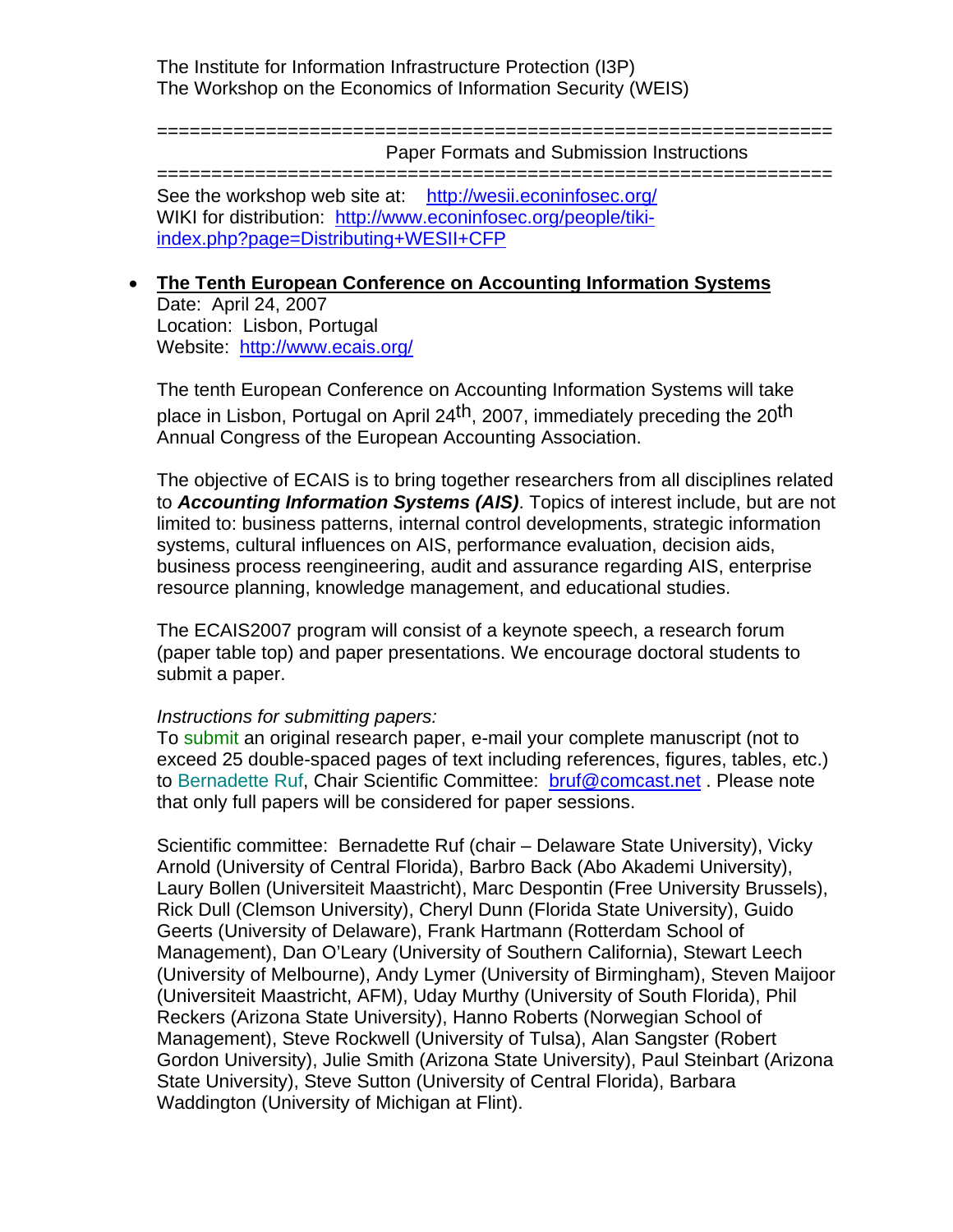============================================================== Paper Formats and Submission Instructions

============================================================== See the workshop web site at: <http://wesii.econinfosec.org/> WIKI for distribution: [http://www.econinfosec.org/people/tiki](http://www.econinfosec.org/people/tiki-index.php?page=Distributing+WESII+CFP)[index.php?page=Distributing+WESII+CFP](http://www.econinfosec.org/people/tiki-index.php?page=Distributing+WESII+CFP)

# • **The Tenth European Conference on Accounting Information Systems** Date: April 24, 2007 Location: Lisbon, Portugal

Website: <http://www.ecais.org/>

The tenth European Conference on Accounting Information Systems will take place in Lisbon, Portugal on April 24<sup>th</sup>, 2007, immediately preceding the 20<sup>th</sup> Annual Congress of the European Accounting Association.

The objective of ECAIS is to bring together researchers from all disciplines related to *Accounting Information Systems (AIS)*. Topics of interest include, but are not limited to: business patterns, internal control developments, strategic information systems, cultural influences on AIS, performance evaluation, decision aids, business process reengineering, audit and assurance regarding AIS, enterprise resource planning, knowledge management, and educational studies.

The ECAIS2007 program will consist of a keynote speech, a research forum (paper table top) and paper presentations. We encourage doctoral students to submit a paper.

# *Instructions for submitting papers:*

To submit an original research paper, e-mail your complete manuscript (not to exceed 25 double-spaced pages of text including references, figures, tables, etc.) to Bernadette Ruf, Chair Scientific Committee: [bruf@comcast.net](mailto:bruf@comcast.net) . Please note that only full papers will be considered for paper sessions.

Scientific committee: Bernadette Ruf (chair – Delaware State University), Vicky Arnold (University of Central Florida), Barbro Back (Abo Akademi University), Laury Bollen (Universiteit Maastricht), Marc Despontin (Free University Brussels), Rick Dull (Clemson University), Cheryl Dunn (Florida State University), Guido Geerts (University of Delaware), Frank Hartmann (Rotterdam School of Management), Dan O'Leary (University of Southern California), Stewart Leech (University of Melbourne), Andy Lymer (University of Birmingham), Steven Maijoor (Universiteit Maastricht, AFM), Uday Murthy (University of South Florida), Phil Reckers (Arizona State University), Hanno Roberts (Norwegian School of Management), Steve Rockwell (University of Tulsa), Alan Sangster (Robert Gordon University), Julie Smith (Arizona State University), Paul Steinbart (Arizona State University), Steve Sutton (University of Central Florida), Barbara Waddington (University of Michigan at Flint).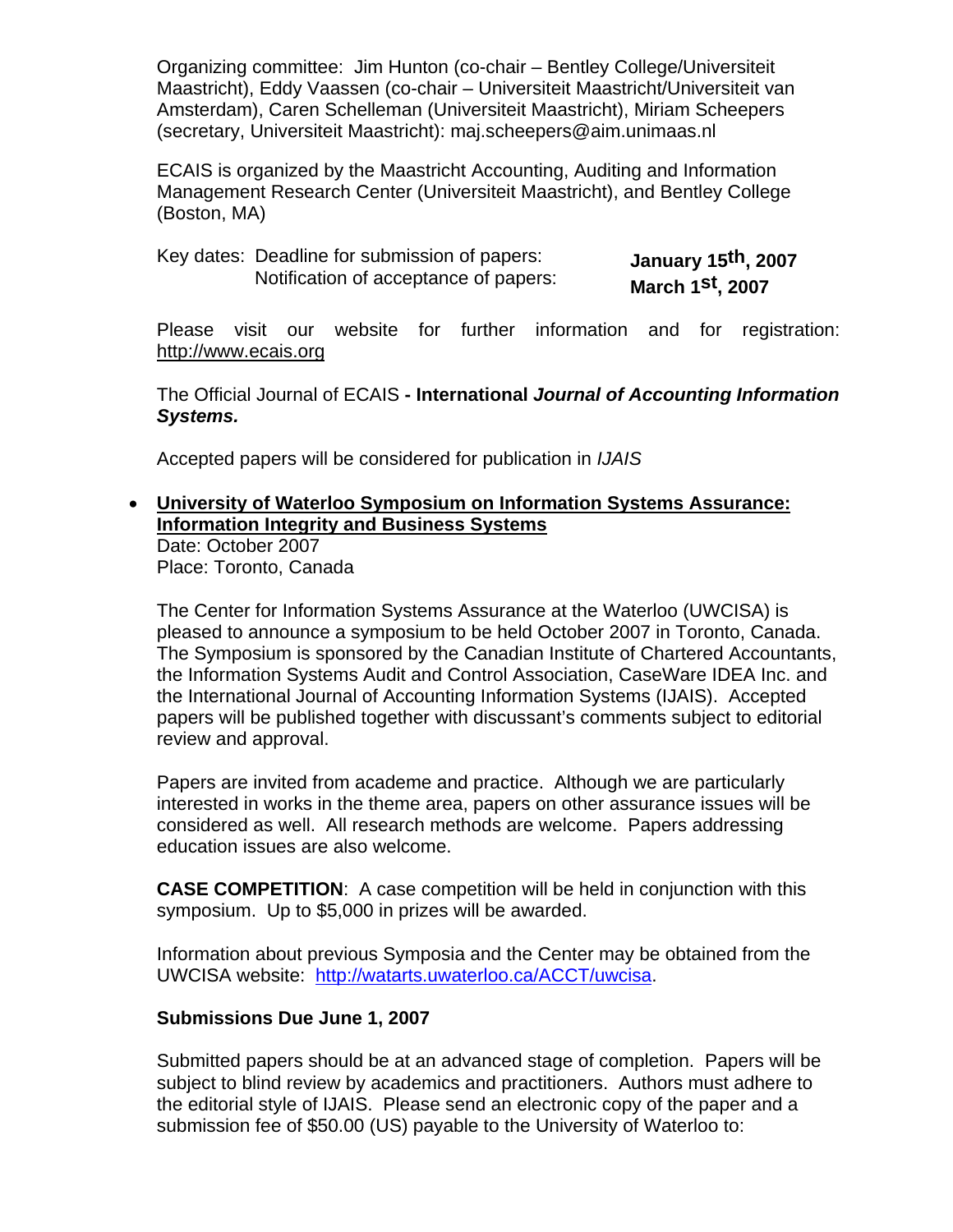Organizing committee: Jim Hunton (co-chair – Bentley College/Universiteit Maastricht), Eddy Vaassen (co-chair – Universiteit Maastricht/Universiteit van Amsterdam), Caren Schelleman (Universiteit Maastricht), Miriam Scheepers (secretary, Universiteit Maastricht): maj.scheepers@aim.unimaas.nl

ECAIS is organized by the Maastricht Accounting, Auditing and Information Management Research Center (Universiteit Maastricht), and Bentley College (Boston, MA)

Key dates: Deadline for submission of papers: Deadline for submission of papers:<br>
Notification of acceptance of papers:<br> **March 4St, 2007 March 1st, 2007** 

Please visit our website for further information and for registration: http://www.ecais.org

The Official Journal of ECAIS **- International** *Journal of Accounting Information Systems.*

Accepted papers will be considered for publication in *IJAIS*

• **University of Waterloo Symposium on Information Systems Assurance: Information Integrity and Business Systems**

Date: October 2007 Place: Toronto, Canada

The Center for Information Systems Assurance at the Waterloo (UWCISA) is pleased to announce a symposium to be held October 2007 in Toronto, Canada. The Symposium is sponsored by the Canadian Institute of Chartered Accountants, the Information Systems Audit and Control Association, CaseWare IDEA Inc. and the International Journal of Accounting Information Systems (IJAIS). Accepted papers will be published together with discussant's comments subject to editorial review and approval.

Papers are invited from academe and practice. Although we are particularly interested in works in the theme area, papers on other assurance issues will be considered as well. All research methods are welcome. Papers addressing education issues are also welcome.

**CASE COMPETITION**: A case competition will be held in conjunction with this symposium. Up to \$5,000 in prizes will be awarded.

Information about previous Symposia and the Center may be obtained from the UWCISA website: [http://watarts.uwaterloo.ca/ACCT/uwcisa.](http://watarts.uwaterloo.ca/ACCT/uwcisa)

# **Submissions Due June 1, 2007**

Submitted papers should be at an advanced stage of completion. Papers will be subject to blind review by academics and practitioners. Authors must adhere to the editorial style of IJAIS. Please send an electronic copy of the paper and a submission fee of \$50.00 (US) payable to the University of Waterloo to: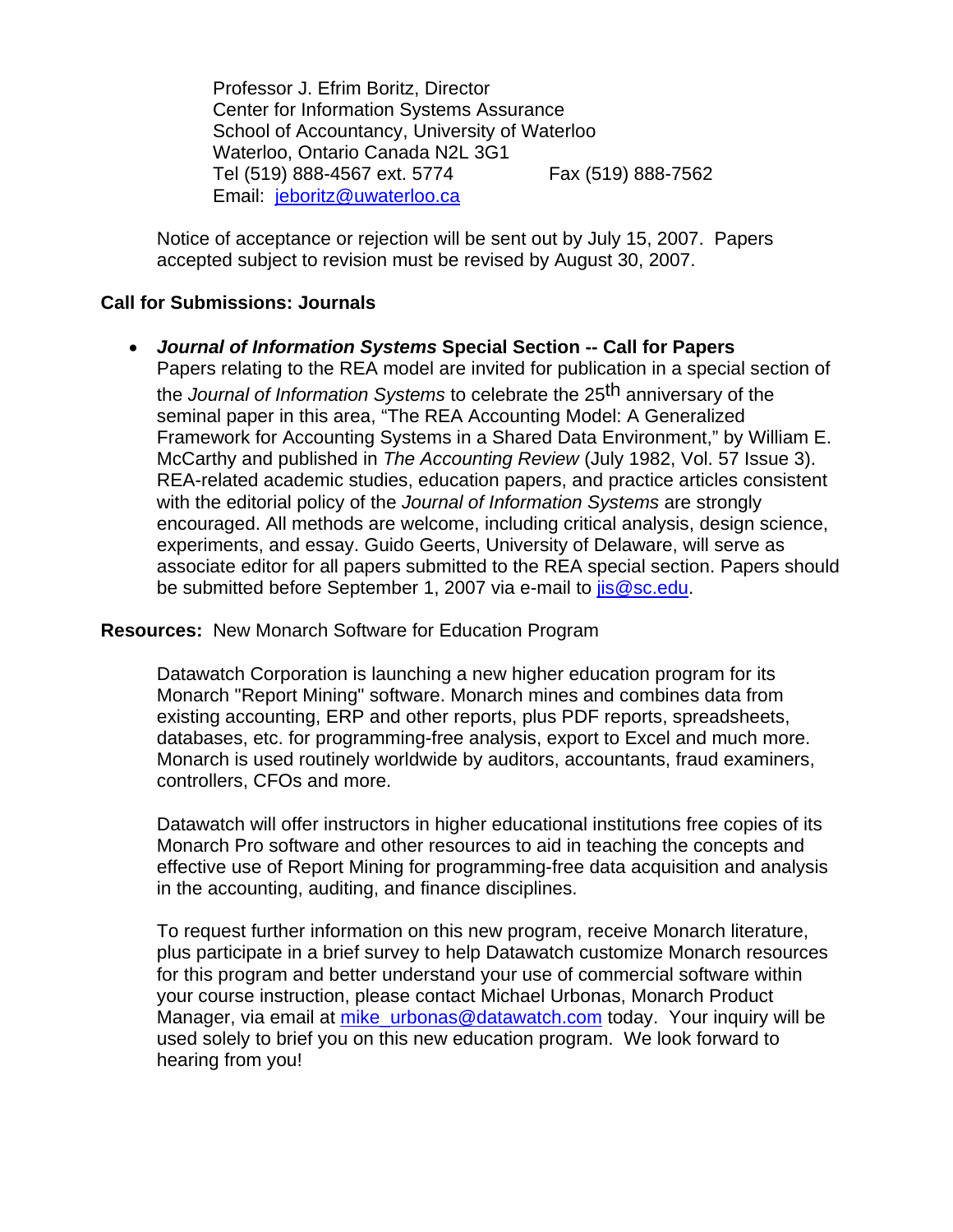<span id="page-28-0"></span> Professor J. Efrim Boritz, Director Center for Information Systems Assurance School of Accountancy, University of Waterloo Waterloo, Ontario Canada N2L 3G1 Tel (519) 888-4567 ext. 5774 Fax (519) 888-7562 Email: [jeboritz@uwaterloo.ca](mailto:jeboritz@uwaterloo.ca)

Notice of acceptance or rejection will be sent out by July 15, 2007. Papers accepted subject to revision must be revised by August 30, 2007.

# **Call for Submissions: Journals**

• *Journal of Information Systems* **Special Section -- Call for Papers**  Papers relating to the REA model are invited for publication in a special section of the *Journal of Information Systems* to celebrate the 25th anniversary of the seminal paper in this area, "The REA Accounting Model: A Generalized Framework for Accounting Systems in a Shared Data Environment," by William E. McCarthy and published in *The Accounting Review* (July 1982, Vol. 57 Issue 3). REA-related academic studies, education papers, and practice articles consistent with the editorial policy of the *Journal of Information Systems* are strongly encouraged. All methods are welcome, including critical analysis, design science, experiments, and essay. Guido Geerts, University of Delaware, will serve as associate editor for all papers submitted to the REA special section. Papers should be submitted before September 1, 2007 via e-mail to [jis@sc.edu](mailto:jis@sc.edu).

# **Resources:** New Monarch Software for Education Program

Datawatch Corporation is launching a new higher education program for its Monarch "Report Mining" software. Monarch mines and combines data from existing accounting, ERP and other reports, plus PDF reports, spreadsheets, databases, etc. for programming-free analysis, export to Excel and much more. Monarch is used routinely worldwide by auditors, accountants, fraud examiners, controllers, CFOs and more.

Datawatch will offer instructors in higher educational institutions free copies of its Monarch Pro software and other resources to aid in teaching the concepts and effective use of Report Mining for programming-free data acquisition and analysis in the accounting, auditing, and finance disciplines.

To request further information on this new program, receive Monarch literature, plus participate in a brief survey to help Datawatch customize Monarch resources for this program and better understand your use of commercial software within your course instruction, please contact Michael Urbonas, Monarch Product Manager, via email at [mike\\_urbonas@datawatch.com](mailto:mike_urbonas@datawatch.com) today. Your inquiry will be used solely to brief you on this new education program. We look forward to hearing from you!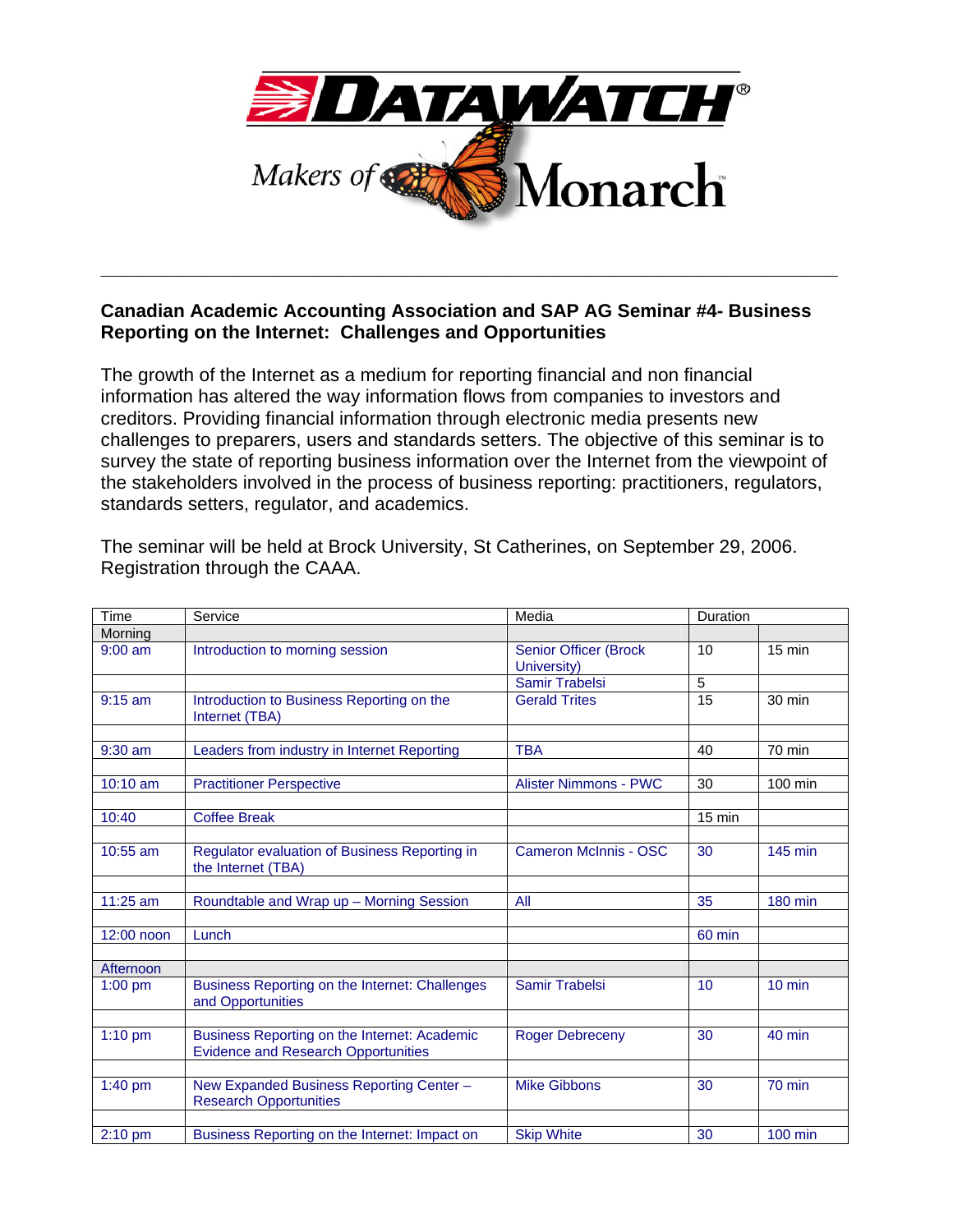<span id="page-29-0"></span>

# **Canadian Academic Accounting Association and SAP AG Seminar #4- Business Reporting on the Internet: Challenges and Opportunities**

**\_\_\_\_\_\_\_\_\_\_\_\_\_\_\_\_\_\_\_\_\_\_\_\_\_\_\_\_\_\_\_\_\_\_\_\_\_\_\_\_\_\_\_\_\_\_\_\_\_\_\_\_\_\_\_\_\_\_\_\_\_\_\_\_\_\_\_\_\_\_\_** 

The growth of the Internet as a medium for reporting financial and non financial information has altered the way information flows from companies to investors and creditors. Providing financial information through electronic media presents new challenges to preparers, users and standards setters. The objective of this seminar is to survey the state of reporting business information over the Internet from the viewpoint of the stakeholders involved in the process of business reporting: practitioners, regulators, standards setters, regulator, and academics.

| Time       | Service                                                                                    | Media                                       | Duration |                  |  |
|------------|--------------------------------------------------------------------------------------------|---------------------------------------------|----------|------------------|--|
| Morning    |                                                                                            |                                             |          |                  |  |
| $9:00$ am  | Introduction to morning session                                                            | <b>Senior Officer (Brock</b><br>University) | 10       | 15 min           |  |
|            |                                                                                            | Samir Trabelsi                              | 5        |                  |  |
| $9:15$ am  | Introduction to Business Reporting on the<br>Internet (TBA)                                | <b>Gerald Trites</b>                        | 15       | 30 min           |  |
|            |                                                                                            |                                             |          |                  |  |
| $9:30$ am  | Leaders from industry in Internet Reporting                                                | <b>TBA</b>                                  | 40       | 70 min           |  |
|            |                                                                                            |                                             |          |                  |  |
| $10:10$ am | <b>Practitioner Perspective</b>                                                            | <b>Alister Nimmons - PWC</b>                | 30       | $100$ min        |  |
|            |                                                                                            |                                             |          |                  |  |
| 10:40      | <b>Coffee Break</b>                                                                        |                                             | 15 min   |                  |  |
|            |                                                                                            |                                             |          |                  |  |
| 10:55 am   | Regulator evaluation of Business Reporting in<br>the Internet (TBA)                        | Cameron McInnis - OSC                       | 30       | <b>145 min</b>   |  |
|            |                                                                                            |                                             |          |                  |  |
| $11:25$ am | Roundtable and Wrap up - Morning Session                                                   | All                                         | 35       | <b>180 min</b>   |  |
|            |                                                                                            |                                             |          |                  |  |
| 12:00 noon | Lunch                                                                                      |                                             | 60 min   |                  |  |
|            |                                                                                            |                                             |          |                  |  |
| Afternoon  |                                                                                            |                                             |          |                  |  |
| $1:00$ pm  | Business Reporting on the Internet: Challenges<br>and Opportunities                        | Samir Trabelsi                              | 10       | $10 \text{ min}$ |  |
|            |                                                                                            |                                             |          |                  |  |
| $1:10$ pm  | Business Reporting on the Internet: Academic<br><b>Evidence and Research Opportunities</b> | <b>Roger Debreceny</b>                      | 30       | 40 min           |  |
|            |                                                                                            |                                             |          |                  |  |
| 1:40 pm    | New Expanded Business Reporting Center -<br><b>Research Opportunities</b>                  | <b>Mike Gibbons</b>                         | 30       | 70 min           |  |
|            |                                                                                            |                                             |          |                  |  |
| 2:10 pm    | Business Reporting on the Internet: Impact on                                              | <b>Skip White</b>                           | 30       | <b>100 min</b>   |  |

The seminar will be held at Brock University, St Catherines, on September 29, 2006. Registration through the CAAA.